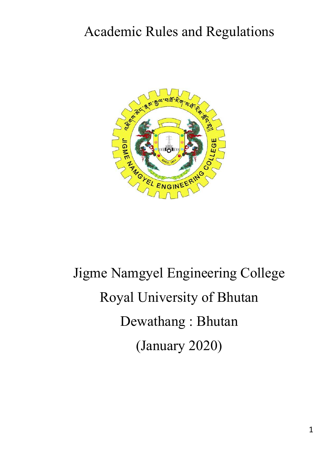# Academic Rules and Regulations



# Jigme Namgyel Engineering College Royal University of Bhutan Dewathang : Bhutan (January 2020)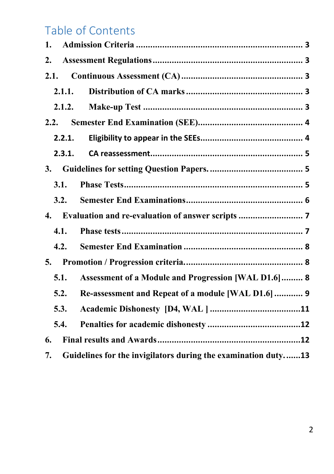# Table of Contents

| 1.                 |                                                               |
|--------------------|---------------------------------------------------------------|
| 2.                 |                                                               |
| 2.1.               |                                                               |
| 2.1.1.             |                                                               |
| 2.1.2.             |                                                               |
| 2.2.               |                                                               |
| 2.2.1.             |                                                               |
| 2.3.1.             |                                                               |
| <b>3.</b>          |                                                               |
| 3.1.               |                                                               |
| 3.2.               |                                                               |
| $\boldsymbol{4}$ . |                                                               |
| 4.1.               |                                                               |
| 4.2.               |                                                               |
| 5.                 |                                                               |
| 5.1.               | Assessment of a Module and Progression [WAL D1.6] 8           |
| 5.2.               | Re-assessment and Repeat of a module [WAL D1.6]  9            |
| 5.3.               |                                                               |
| 5.4.               |                                                               |
| 6.                 |                                                               |
| 7.                 | Guidelines for the invigilators during the examination duty13 |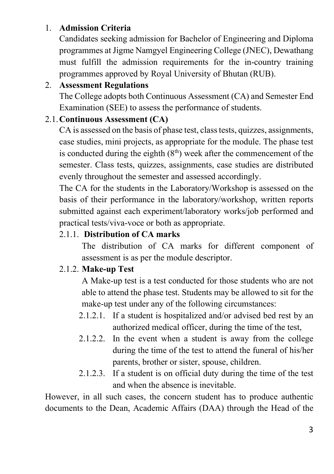### 1. **Admission Criteria**

Candidates seeking admission for Bachelor of Engineering and Diploma programmes at Jigme Namgyel Engineering College (JNEC), Dewathang must fulfill the admission requirements for the in-country training programmes approved by Royal University of Bhutan (RUB).

### 2. **Assessment Regulations**

The College adopts both Continuous Assessment (CA) and Semester End Examination (SEE) to assess the performance of students.

### 2.1.**Continuous Assessment (CA)**

CA is assessed on the basis of phase test, class tests, quizzes, assignments, case studies, mini projects, as appropriate for the module. The phase test is conducted during the eighth  $(8<sup>th</sup>)$  week after the commencement of the semester. Class tests, quizzes, assignments, case studies are distributed evenly throughout the semester and assessed accordingly.

The CA for the students in the Laboratory/Workshop is assessed on the basis of their performance in the laboratory/workshop, written reports submitted against each experiment/laboratory works/job performed and practical tests/viva-voce or both as appropriate.

### 2.1.1. **Distribution of CA marks**

The distribution of CA marks for different component of assessment is as per the module descriptor.

### 2.1.2. **Make-up Test**

A Make-up test is a test conducted for those students who are not able to attend the phase test. Students may be allowed to sit for the make-up test under any of the following circumstances:

- 2.1.2.1. If a student is hospitalized and/or advised bed rest by an authorized medical officer, during the time of the test,
- 2.1.2.2. In the event when a student is away from the college during the time of the test to attend the funeral of his/her parents, brother or sister, spouse, children.
- 2.1.2.3. If a student is on official duty during the time of the test and when the absence is inevitable.

However, in all such cases, the concern student has to produce authentic documents to the Dean, Academic Affairs (DAA) through the Head of the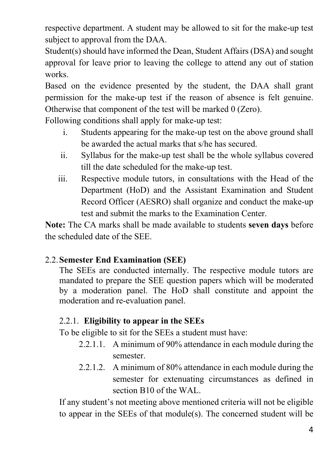respective department. A student may be allowed to sit for the make-up test subject to approval from the DAA.

Student(s) should have informed the Dean, Student Affairs (DSA) and sought approval for leave prior to leaving the college to attend any out of station works.

Based on the evidence presented by the student, the DAA shall grant permission for the make-up test if the reason of absence is felt genuine. Otherwise that component of the test will be marked 0 (Zero).

Following conditions shall apply for make-up test:

- i. Students appearing for the make-up test on the above ground shall be awarded the actual marks that s/he has secured.
- ii. Syllabus for the make-up test shall be the whole syllabus covered till the date scheduled for the make-up test.
- iii. Respective module tutors, in consultations with the Head of the Department (HoD) and the Assistant Examination and Student Record Officer (AESRO) shall organize and conduct the make-up test and submit the marks to the Examination Center.

**Note:** The CA marks shall be made available to students **seven days** before the scheduled date of the SEE.

### 2.2.**Semester End Examination (SEE)**

The SEEs are conducted internally. The respective module tutors are mandated to prepare the SEE question papers which will be moderated by a moderation panel. The HoD shall constitute and appoint the moderation and re-evaluation panel.

### 2.2.1. **Eligibility to appear in the SEEs**

To be eligible to sit for the SEEs a student must have:

- 2.2.1.1. A minimum of 90% attendance in each module during the semester.
- 2.2.1.2. A minimum of 80% attendance in each module during the semester for extenuating circumstances as defined in section B10 of the WAL.

If any student's not meeting above mentioned criteria will not be eligible to appear in the SEEs of that module(s). The concerned student will be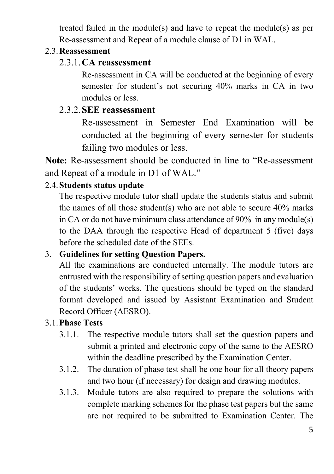treated failed in the module(s) and have to repeat the module(s) as per Re-assessment and Repeat of a module clause of D1 in WAL.

### 2.3.**Reassessment**

### 2.3.1.**CA reassessment**

Re-assessment in CA will be conducted at the beginning of every semester for student's not securing 40% marks in CA in two modules or less.

### 2.3.2.**SEE reassessment**

Re-assessment in Semester End Examination will be conducted at the beginning of every semester for students failing two modules or less.

**Note:** Re-assessment should be conducted in line to "Re-assessment and Repeat of a module in D1 of WAL."

### 2.4.**Students status update**

The respective module tutor shall update the students status and submit the names of all those student(s) who are not able to secure 40% marks in CA or do not have minimum class attendance of 90% in any module(s) to the DAA through the respective Head of department 5 (five) days before the scheduled date of the SEEs.

### 3. **Guidelines for setting Question Papers.**

All the examinations are conducted internally. The module tutors are entrusted with the responsibility of setting question papers and evaluation of the students' works. The questions should be typed on the standard format developed and issued by Assistant Examination and Student Record Officer (AESRO).

### 3.1.**Phase Tests**

- 3.1.1. The respective module tutors shall set the question papers and submit a printed and electronic copy of the same to the AESRO within the deadline prescribed by the Examination Center.
- 3.1.2. The duration of phase test shall be one hour for all theory papers and two hour (if necessary) for design and drawing modules.
- 3.1.3. Module tutors are also required to prepare the solutions with complete marking schemes for the phase test papers but the same are not required to be submitted to Examination Center. The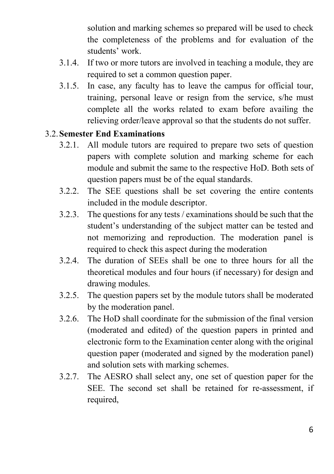solution and marking schemes so prepared will be used to check the completeness of the problems and for evaluation of the students' work.

- 3.1.4. If two or more tutors are involved in teaching a module, they are required to set a common question paper.
- 3.1.5. In case, any faculty has to leave the campus for official tour, training, personal leave or resign from the service, s/he must complete all the works related to exam before availing the relieving order/leave approval so that the students do not suffer.

### 3.2.**Semester End Examinations**

- 3.2.1. All module tutors are required to prepare two sets of question papers with complete solution and marking scheme for each module and submit the same to the respective HoD. Both sets of question papers must be of the equal standards.
- 3.2.2. The SEE questions shall be set covering the entire contents included in the module descriptor.
- 3.2.3. The questions for any tests / examinations should be such that the student's understanding of the subject matter can be tested and not memorizing and reproduction. The moderation panel is required to check this aspect during the moderation
- 3.2.4. The duration of SEEs shall be one to three hours for all the theoretical modules and four hours (if necessary) for design and drawing modules.
- 3.2.5. The question papers set by the module tutors shall be moderated by the moderation panel.
- 3.2.6. The HoD shall coordinate for the submission of the final version (moderated and edited) of the question papers in printed and electronic form to the Examination center along with the original question paper (moderated and signed by the moderation panel) and solution sets with marking schemes.
- 3.2.7. The AESRO shall select any, one set of question paper for the SEE. The second set shall be retained for re-assessment, if required,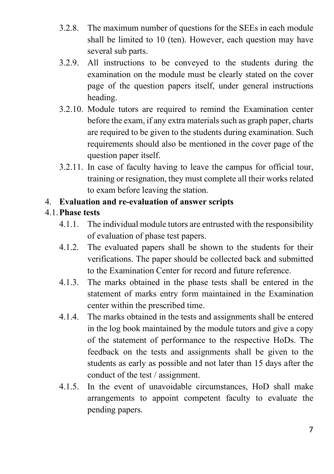- 3.2.8. The maximum number of questions for the SEEs in each module shall be limited to 10 (ten). However, each question may have several sub parts.
- 3.2.9. All instructions to be conveyed to the students during the examination on the module must be clearly stated on the cover page of the question papers itself, under general instructions heading.
- 3.2.10. Module tutors are required to remind the Examination center before the exam, if any extra materials such as graph paper, charts are required to be given to the students during examination. Such requirements should also be mentioned in the cover page of the question paper itself.
- 3.2.11. In case of faculty having to leave the campus for official tour, training or resignation, they must complete all their works related to exam before leaving the station.

### 4. **Evaluation and re-evaluation of answer scripts**

### 4.1.**Phase tests**

- 4.1.1. The individual module tutors are entrusted with the responsibility of evaluation of phase test papers.
- 4.1.2. The evaluated papers shall be shown to the students for their verifications. The paper should be collected back and submitted to the Examination Center for record and future reference.
- 4.1.3. The marks obtained in the phase tests shall be entered in the statement of marks entry form maintained in the Examination center within the prescribed time.
- 4.1.4. The marks obtained in the tests and assignments shall be entered in the log book maintained by the module tutors and give a copy of the statement of performance to the respective HoDs. The feedback on the tests and assignments shall be given to the students as early as possible and not later than 15 days after the conduct of the test / assignment.
- 4.1.5. In the event of unavoidable circumstances, HoD shall make arrangements to appoint competent faculty to evaluate the pending papers.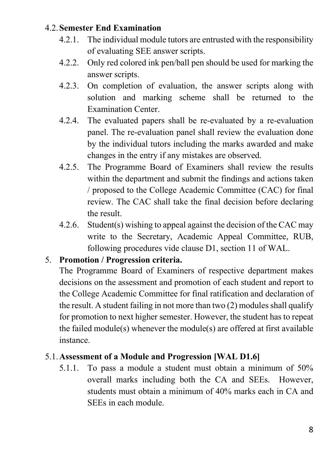### 4.2.**Semester End Examination**

- 4.2.1. The individual module tutors are entrusted with the responsibility of evaluating SEE answer scripts.
- 4.2.2. Only red colored ink pen/ball pen should be used for marking the answer scripts.
- 4.2.3. On completion of evaluation, the answer scripts along with solution and marking scheme shall be returned to the Examination Center.
- 4.2.4. The evaluated papers shall be re-evaluated by a re-evaluation panel. The re-evaluation panel shall review the evaluation done by the individual tutors including the marks awarded and make changes in the entry if any mistakes are observed.
- 4.2.5. The Programme Board of Examiners shall review the results within the department and submit the findings and actions taken / proposed to the College Academic Committee (CAC) for final review. The CAC shall take the final decision before declaring the result.
- 4.2.6. Student(s) wishing to appeal against the decision of the CAC may write to the Secretary, Academic Appeal Committee, RUB, following procedures vide clause D1, section 11 of WAL.

### 5. **Promotion / Progression criteria.**

The Programme Board of Examiners of respective department makes decisions on the assessment and promotion of each student and report to the College Academic Committee for final ratification and declaration of the result. A student failing in not more than two (2) modules shall qualify for promotion to next higher semester. However, the student has to repeat the failed module(s) whenever the module(s) are offered at first available instance.

### 5.1.**Assessment of a Module and Progression [WAL D1.6]**

5.1.1. To pass a module a student must obtain a minimum of 50% overall marks including both the CA and SEEs. However, students must obtain a minimum of 40% marks each in CA and SEEs in each module.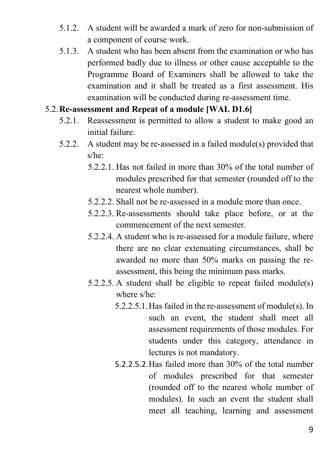- 5.1.2. A student will be awarded a mark of zero for non-submission of a component of course work.
- 5.1.3. A student who has been absent from the examination or who has performed badly due to illness or other cause acceptable to the Programme Board of Examiners shall be allowed to take the examination and it shall be treated as a first assessment. His examination will be conducted during re-assessment time.

### 5.2.**Re-assessment and Repeat of a module [WAL D1.6]**

- 5.2.1. Reassessment is permitted to allow a student to make good an initial failure.
- 5.2.2. A student may be re-assessed in a failed module(s) provided that s/he:
	- 5.2.2.1. Has not failed in more than 30% of the total number of modules prescribed for that semester (rounded off to the nearest whole number).
	- 5.2.2.2. Shall not be re-assessed in a module more than once.
	- 5.2.2.3. Re-assessments should take place before, or at the commencement of the next semester.
	- 5.2.2.4. A student who is re-assessed for a module failure, where there are no clear extenuating circumstances, shall be awarded no more than 50% marks on passing the reassessment, this being the minimum pass marks.
	- 5.2.2.5. A student shall be eligible to repeat failed module(s) where s/he:
		- 5.2.2.5.1.Has failed in the re-assessment of module(s). In such an event, the student shall meet all assessment requirements of those modules. For students under this category, attendance in lectures is not mandatory.
		- 5.2.2.5.2.Has failed more than 30% of the total number of modules prescribed for that semester (rounded off to the nearest whole number of modules). In such an event the student shall meet all teaching, learning and assessment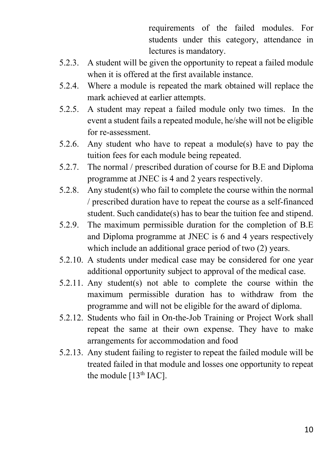requirements of the failed modules. For students under this category, attendance in lectures is mandatory.

- 5.2.3. A student will be given the opportunity to repeat a failed module when it is offered at the first available instance.
- 5.2.4. Where a module is repeated the mark obtained will replace the mark achieved at earlier attempts.
- 5.2.5. A student may repeat a failed module only two times. In the event a student fails a repeated module, he/she will not be eligible for re-assessment.
- 5.2.6. Any student who have to repeat a module(s) have to pay the tuition fees for each module being repeated.
- 5.2.7. The normal / prescribed duration of course for B.E and Diploma programme at JNEC is 4 and 2 years respectively.
- 5.2.8. Any student(s) who fail to complete the course within the normal / prescribed duration have to repeat the course as a self-financed student. Such candidate(s) has to bear the tuition fee and stipend.
- 5.2.9. The maximum permissible duration for the completion of B.E and Diploma programme at JNEC is 6 and 4 years respectively which include an additional grace period of two  $(2)$  years.
- 5.2.10. A students under medical case may be considered for one year additional opportunity subject to approval of the medical case.
- 5.2.11. Any student(s) not able to complete the course within the maximum permissible duration has to withdraw from the programme and will not be eligible for the award of diploma.
- 5.2.12. Students who fail in On-the-Job Training or Project Work shall repeat the same at their own expense. They have to make arrangements for accommodation and food
- 5.2.13. Any student failing to register to repeat the failed module will be treated failed in that module and losses one opportunity to repeat the module  $[13<sup>th</sup>$  IAC].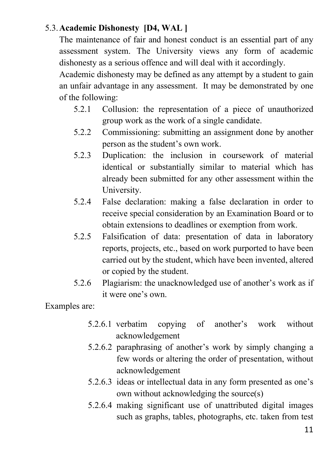### 5.3.**Academic Dishonesty [D4, WAL ]**

The maintenance of fair and honest conduct is an essential part of any assessment system. The University views any form of academic dishonesty as a serious offence and will deal with it accordingly.

Academic dishonesty may be defined as any attempt by a student to gain an unfair advantage in any assessment. It may be demonstrated by one of the following:

- 5.2.1 Collusion: the representation of a piece of unauthorized group work as the work of a single candidate.
- 5.2.2 Commissioning: submitting an assignment done by another person as the student's own work.
- 5.2.3 Duplication: the inclusion in coursework of material identical or substantially similar to material which has already been submitted for any other assessment within the University.
- 5.2.4 False declaration: making a false declaration in order to receive special consideration by an Examination Board or to obtain extensions to deadlines or exemption from work.
- 5.2.5 Falsification of data: presentation of data in laboratory reports, projects, etc., based on work purported to have been carried out by the student, which have been invented, altered or copied by the student.
- 5.2.6 Plagiarism: the unacknowledged use of another's work as if it were one's own.

Examples are:

- 5.2.6.1 verbatim copying of another's work without acknowledgement
- 5.2.6.2 paraphrasing of another's work by simply changing a few words or altering the order of presentation, without acknowledgement
- 5.2.6.3 ideas or intellectual data in any form presented as one's own without acknowledging the source(s)
- 5.2.6.4 making significant use of unattributed digital images such as graphs, tables, photographs, etc. taken from test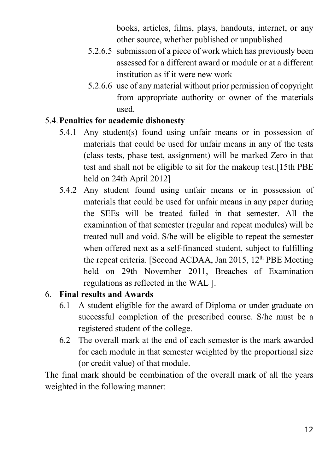books, articles, films, plays, handouts, internet, or any other source, whether published or unpublished

- 5.2.6.5 submission of a piece of work which has previously been assessed for a different award or module or at a different institution as if it were new work
- 5.2.6.6 use of any material without prior permission of copyright from appropriate authority or owner of the materials used.

### 5.4.**Penalties for academic dishonesty**

- 5.4.1 Any student(s) found using unfair means or in possession of materials that could be used for unfair means in any of the tests (class tests, phase test, assignment) will be marked Zero in that test and shall not be eligible to sit for the makeup test.[15th PBE held on 24th April 2012]
- 5.4.2 Any student found using unfair means or in possession of materials that could be used for unfair means in any paper during the SEEs will be treated failed in that semester. All the examination of that semester (regular and repeat modules) will be treated null and void. S/he will be eligible to repeat the semester when offered next as a self-financed student, subject to fulfilling the repeat criteria. [Second ACDAA, Jan 2015, 12<sup>th</sup> PBE Meeting] held on 29th November 2011, Breaches of Examination regulations as reflected in the WAL ].

### 6. **Final results and Awards**

- 6.1 A student eligible for the award of Diploma or under graduate on successful completion of the prescribed course. S/he must be a registered student of the college.
- 6.2 The overall mark at the end of each semester is the mark awarded for each module in that semester weighted by the proportional size (or credit value) of that module.

The final mark should be combination of the overall mark of all the years weighted in the following manner: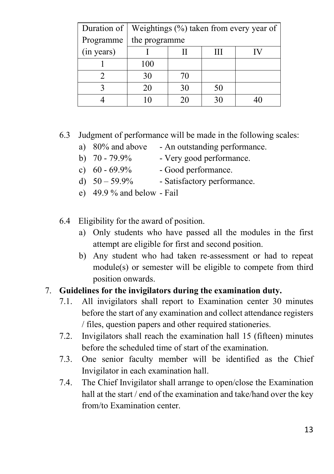| Duration of | Weightings (%) taken from every year of |          |    |  |  |  |  |  |  |  |  |  |
|-------------|-----------------------------------------|----------|----|--|--|--|--|--|--|--|--|--|
| Programme   | the programme                           |          |    |  |  |  |  |  |  |  |  |  |
| (in years)  |                                         | Ш        |    |  |  |  |  |  |  |  |  |  |
|             | 100                                     |          |    |  |  |  |  |  |  |  |  |  |
|             | 30                                      | 70       |    |  |  |  |  |  |  |  |  |  |
|             | 20                                      | 50<br>30 |    |  |  |  |  |  |  |  |  |  |
|             | ۱0                                      | 20       | 30 |  |  |  |  |  |  |  |  |  |

### 6.3 Judgment of performance will be made in the following scales:

- a) 80% and above An outstanding performance.
- b)  $70 79.9\%$  Very good performance.
	-
- c)  $60 69.9\%$  Good performance.
	-
- d)  $50 59.9\%$  Satisfactory performance.
- e) 49.9 % and below Fail
- 6.4 Eligibility for the award of position.
	- a) Only students who have passed all the modules in the first attempt are eligible for first and second position.
	- b) Any student who had taken re-assessment or had to repeat module(s) or semester will be eligible to compete from third position onwards.

### 7. **Guidelines for the invigilators during the examination duty.**

- 7.1. All invigilators shall report to Examination center 30 minutes before the start of any examination and collect attendance registers / files, question papers and other required stationeries.
- 7.2. Invigilators shall reach the examination hall 15 (fifteen) minutes before the scheduled time of start of the examination.
- 7.3. One senior faculty member will be identified as the Chief Invigilator in each examination hall.
- 7.4. The Chief Invigilator shall arrange to open/close the Examination hall at the start / end of the examination and take/hand over the key from/to Examination center.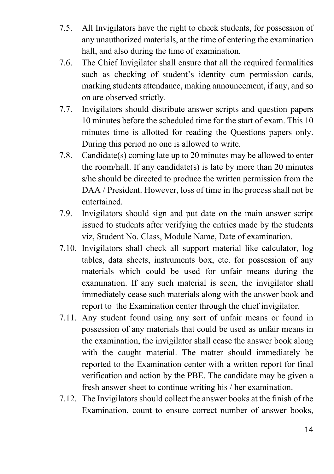- 7.5. All Invigilators have the right to check students, for possession of any unauthorized materials, at the time of entering the examination hall, and also during the time of examination.
- 7.6. The Chief Invigilator shall ensure that all the required formalities such as checking of student's identity cum permission cards, marking students attendance, making announcement, if any, and so on are observed strictly.
- 7.7. Invigilators should distribute answer scripts and question papers 10 minutes before the scheduled time for the start of exam. This 10 minutes time is allotted for reading the Questions papers only. During this period no one is allowed to write.
- 7.8. Candidate(s) coming late up to 20 minutes may be allowed to enter the room/hall. If any candidate(s) is late by more than 20 minutes s/he should be directed to produce the written permission from the DAA / President. However, loss of time in the process shall not be entertained.
- 7.9. Invigilators should sign and put date on the main answer script issued to students after verifying the entries made by the students viz, Student No. Class, Module Name, Date of examination.
- 7.10. Invigilators shall check all support material like calculator, log tables, data sheets, instruments box, etc. for possession of any materials which could be used for unfair means during the examination. If any such material is seen, the invigilator shall immediately cease such materials along with the answer book and report to the Examination center through the chief invigilator.
- 7.11. Any student found using any sort of unfair means or found in possession of any materials that could be used as unfair means in the examination, the invigilator shall cease the answer book along with the caught material. The matter should immediately be reported to the Examination center with a written report for final verification and action by the PBE. The candidate may be given a fresh answer sheet to continue writing his / her examination.
- 7.12. The Invigilators should collect the answer books at the finish of the Examination, count to ensure correct number of answer books,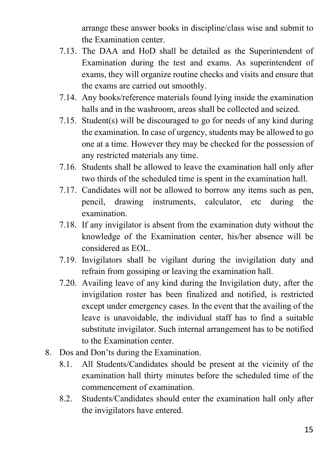arrange these answer books in discipline/class wise and submit to the Examination center.

- 7.13. The DAA and HoD shall be detailed as the Superintendent of Examination during the test and exams. As superintendent of exams, they will organize routine checks and visits and ensure that the exams are carried out smoothly.
- 7.14. Any books/reference materials found lying inside the examination halls and in the washroom, areas shall be collected and seized.
- 7.15. Student(s) will be discouraged to go for needs of any kind during the examination. In case of urgency, students may be allowed to go one at a time. However they may be checked for the possession of any restricted materials any time.
- 7.16. Students shall be allowed to leave the examination hall only after two thirds of the scheduled time is spent in the examination hall.
- 7.17. Candidates will not be allowed to borrow any items such as pen, pencil, drawing instruments, calculator, etc during the examination.
- 7.18. If any invigilator is absent from the examination duty without the knowledge of the Examination center, his/her absence will be considered as EOL.
- 7.19. Invigilators shall be vigilant during the invigilation duty and refrain from gossiping or leaving the examination hall.
- 7.20. Availing leave of any kind during the Invigilation duty, after the invigilation roster has been finalized and notified, is restricted except under emergency cases. In the event that the availing of the leave is unavoidable, the individual staff has to find a suitable substitute invigilator. Such internal arrangement has to be notified to the Examination center.
- 8. Dos and Don'ts during the Examination.
	- 8.1. All Students/Candidates should be present at the vicinity of the examination hall thirty minutes before the scheduled time of the commencement of examination.
	- 8.2. Students/Candidates should enter the examination hall only after the invigilators have entered.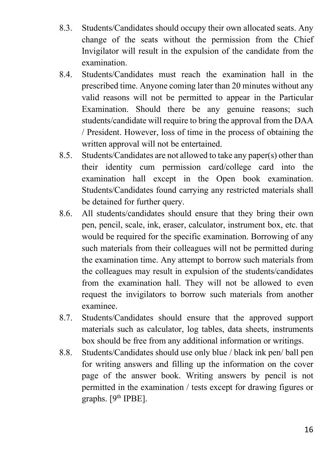- 8.3. Students/Candidates should occupy their own allocated seats. Any change of the seats without the permission from the Chief Invigilator will result in the expulsion of the candidate from the examination.
- 8.4. Students/Candidates must reach the examination hall in the prescribed time. Anyone coming later than 20 minutes without any valid reasons will not be permitted to appear in the Particular Examination. Should there be any genuine reasons; such students/candidate will require to bring the approval from the DAA / President. However, loss of time in the process of obtaining the written approval will not be entertained.
- 8.5. Students/Candidates are not allowed to take any paper(s) other than their identity cum permission card/college card into the examination hall except in the Open book examination. Students/Candidates found carrying any restricted materials shall be detained for further query.
- 8.6. All students/candidates should ensure that they bring their own pen, pencil, scale, ink, eraser, calculator, instrument box, etc. that would be required for the specific examination. Borrowing of any such materials from their colleagues will not be permitted during the examination time. Any attempt to borrow such materials from the colleagues may result in expulsion of the students/candidates from the examination hall. They will not be allowed to even request the invigilators to borrow such materials from another examinee.
- 8.7. Students/Candidates should ensure that the approved support materials such as calculator, log tables, data sheets, instruments box should be free from any additional information or writings.
- 8.8. Students/Candidates should use only blue / black ink pen/ ball pen for writing answers and filling up the information on the cover page of the answer book. Writing answers by pencil is not permitted in the examination / tests except for drawing figures or graphs.  $[9<sup>th</sup> [PBE]$ .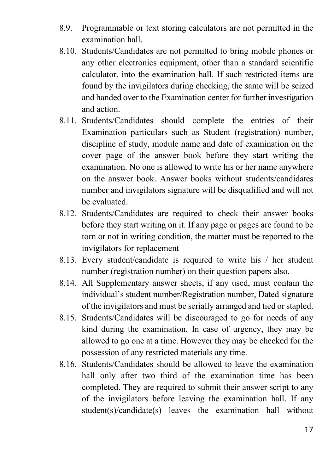- 8.9. Programmable or text storing calculators are not permitted in the examination hall.
- 8.10. Students/Candidates are not permitted to bring mobile phones or any other electronics equipment, other than a standard scientific calculator, into the examination hall. If such restricted items are found by the invigilators during checking, the same will be seized and handed over to the Examination center for further investigation and action.
- 8.11. Students/Candidates should complete the entries of their Examination particulars such as Student (registration) number, discipline of study, module name and date of examination on the cover page of the answer book before they start writing the examination. No one is allowed to write his or her name anywhere on the answer book. Answer books without students/candidates number and invigilators signature will be disqualified and will not be evaluated.
- 8.12. Students/Candidates are required to check their answer books before they start writing on it. If any page or pages are found to be torn or not in writing condition, the matter must be reported to the invigilators for replacement
- 8.13. Every student/candidate is required to write his / her student number (registration number) on their question papers also.
- 8.14. All Supplementary answer sheets, if any used, must contain the individual's student number/Registration number, Dated signature of the invigilators and must be serially arranged and tied or stapled.
- 8.15. Students/Candidates will be discouraged to go for needs of any kind during the examination. In case of urgency, they may be allowed to go one at a time. However they may be checked for the possession of any restricted materials any time.
- 8.16. Students/Candidates should be allowed to leave the examination hall only after two third of the examination time has been completed. They are required to submit their answer script to any of the invigilators before leaving the examination hall. If any student(s)/candidate(s) leaves the examination hall without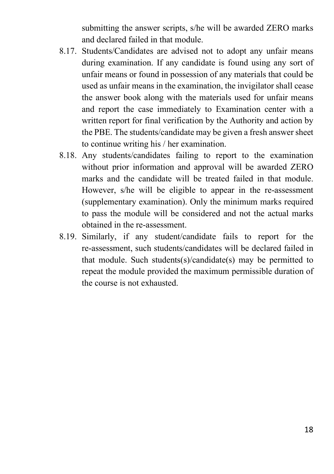submitting the answer scripts, s/he will be awarded ZERO marks and declared failed in that module.

- 8.17. Students/Candidates are advised not to adopt any unfair means during examination. If any candidate is found using any sort of unfair means or found in possession of any materials that could be used as unfair means in the examination, the invigilator shall cease the answer book along with the materials used for unfair means and report the case immediately to Examination center with a written report for final verification by the Authority and action by the PBE. The students/candidate may be given a fresh answer sheet to continue writing his / her examination.
- 8.18. Any students/candidates failing to report to the examination without prior information and approval will be awarded ZERO marks and the candidate will be treated failed in that module. However, s/he will be eligible to appear in the re-assessment (supplementary examination). Only the minimum marks required to pass the module will be considered and not the actual marks obtained in the re-assessment.
- 8.19. Similarly, if any student/candidate fails to report for the re-assessment, such students/candidates will be declared failed in that module. Such students(s)/candidate(s) may be permitted to repeat the module provided the maximum permissible duration of the course is not exhausted.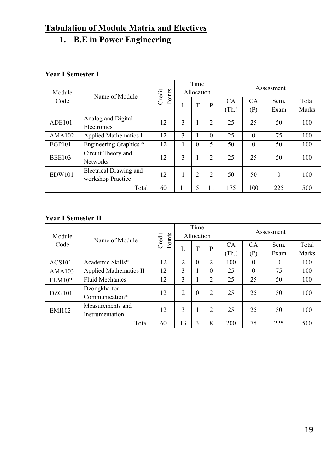### **Tabulation of Module Matrix and Electives**

### **1. B.E in Power Engineering**

### **Year I Semester I**

| Module        | Name of Module                              | Credit<br>Points | Time<br>Allocation |                |                | Assessment  |           |              |                |
|---------------|---------------------------------------------|------------------|--------------------|----------------|----------------|-------------|-----------|--------------|----------------|
| Code          |                                             |                  | L                  | T              | P              | CA<br>(Th.) | CA<br>(P) | Sem.<br>Exam | Total<br>Marks |
| <b>ADE101</b> | Analog and Digital<br>Electronics           | 12               | 3                  |                | 2              | 25          | 25        | 50           | 100            |
| AMA102        | <b>Applied Mathematics I</b>                | 12               | 3                  |                | $\Omega$       | 25          | $\theta$  | 75           | 100            |
| <b>EGP101</b> | Engineering Graphics <sup>*</sup>           | 12               |                    | 0              | 5              | 50          | $\theta$  | 50           | 100            |
| <b>BEE103</b> | Circuit Theory and<br><b>Networks</b>       | 12               | 3                  |                | $\overline{c}$ | 25          | 25        | 50           | 100            |
| <b>EDW101</b> | Electrical Drawing and<br>workshop Practice | 12               |                    | $\overline{2}$ | 2              | 50          | 50        | $\theta$     | 100            |
| Total         |                                             | 60               | 11                 | 5              | 11             | 175         | 100       | 225          | 500            |

| Module                                               | Name of Module                 | Credit<br>Points |                | Time<br>Allocation |                | Assessment     |           |          |       |
|------------------------------------------------------|--------------------------------|------------------|----------------|--------------------|----------------|----------------|-----------|----------|-------|
| Code                                                 |                                |                  | L              | T                  | P              | CA             | <b>CA</b> | Sem.     | Total |
|                                                      |                                |                  |                |                    |                | (Th.)          | (P)       | Exam     | Marks |
| <b>ACS101</b>                                        | Academic Skills*               | 12               | $\overline{c}$ | $\Omega$           | $\overline{c}$ | 100            | $\theta$  | $\Omega$ | 100   |
| AMA103                                               | Applied Mathematics II         | 12               | 3              |                    | $\Omega$       | 25             | $\theta$  | 75       | 100   |
| <b>FLM102</b>                                        | <b>Fluid Mechanics</b>         | 12               | 3              |                    | $\mathfrak{2}$ | 25             | 25<br>50  |          | 100   |
| DZG101                                               | Dzongkha for<br>Communication* | 12               | $\overline{c}$ | $\theta$           | $\overline{c}$ | 25<br>25<br>50 |           |          | 100   |
| Measurements and<br><b>EMI102</b><br>Instrumentation |                                | 12               | 3              |                    | 2              | 25             | 25        | 50       | 100   |
| Total                                                |                                | 60               | 13             | 3                  | 8              | 200            | 75        | 225      | 500   |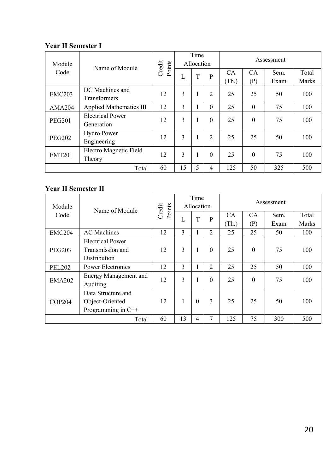| Module        | Name of Module                        | Credit<br>Points | Time<br>Allocation |   |                | Assessment  |                  |              |                |
|---------------|---------------------------------------|------------------|--------------------|---|----------------|-------------|------------------|--------------|----------------|
| Code          |                                       |                  | L                  | T | P              | CA<br>(Th.) | <b>CA</b><br>(P) | Sem.<br>Exam | Total<br>Marks |
| <b>EMC203</b> | DC Machines and<br>Transformers       | 12               | 3                  |   | $\overline{c}$ | 25          | 25               | 50           | 100            |
| <b>AMA204</b> | Applied Mathematics III               |                  | 3                  |   | $\Omega$       | 25          | $\theta$         | 75           | 100            |
| <b>PEG201</b> | <b>Electrical Power</b><br>Generation | 12               | 3                  |   | $\Omega$       | 25          | $\theta$         | 75           | 100            |
| <b>PEG202</b> | Hydro Power<br>Engineering            | 12               | 3                  |   | $\mathfrak{D}$ | 25          | 25               | 50           | 100            |
| <b>EMT201</b> | Electro Magnetic Field<br>Theory      | 12               | 3                  |   | $\Omega$       | 25          | $\theta$         | 75           | 100            |
| Total         |                                       | 60               | 15                 | 5 | 4              | 125         | 50               | 325          | 500            |

| Module        | Name of Module                    | Points<br>Credit |    | Time<br>Allocation |                | Assessment |           |      |       |
|---------------|-----------------------------------|------------------|----|--------------------|----------------|------------|-----------|------|-------|
| Code          |                                   |                  | L  | T                  | P              | CA         | <b>CA</b> | Sem. | Total |
|               |                                   |                  |    |                    |                | (Th.)      | (P)       | Exam | Marks |
| <b>EMC204</b> | <b>AC</b> Machines                | 12               | 3  |                    | $\overline{c}$ | 25         | 25        | 50   | 100   |
|               | <b>Electrical Power</b>           |                  |    |                    |                |            |           |      |       |
| <b>PEG203</b> | Transmission and                  | 12               | 3  |                    | $\Omega$       | 25         | $\theta$  | 75   | 100   |
|               | Distribution                      |                  |    |                    |                |            |           |      |       |
| <b>PEL202</b> | Power Electronics                 | 12               | 3  |                    | $\overline{c}$ | 25         | 25        | 50   | 100   |
| <b>EMA202</b> | Energy Management and<br>Auditing | 12               | 3  |                    | $\Omega$       | 25         | $\theta$  | 75   | 100   |
|               | Data Structure and                |                  |    |                    |                |            |           |      |       |
| <b>COP204</b> | Object-Oriented                   | 12               | 1  | $\Omega$           | 3              | 25         | 25        | 50   | 100   |
|               | Programming in $C++$              |                  |    |                    |                |            |           |      |       |
| Total         |                                   | 60               | 13 | 4                  |                | 125        | 75        | 300  | 500   |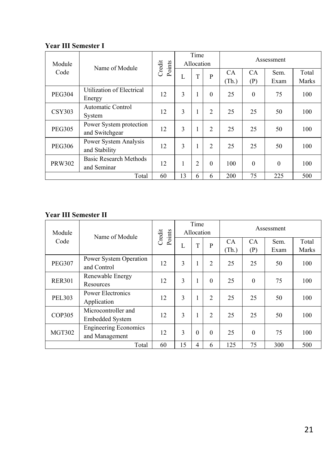| Module        | Name of Module                            | Credit<br>Points | Time<br>Allocation |                |                | Assessment  |                  |              |                |
|---------------|-------------------------------------------|------------------|--------------------|----------------|----------------|-------------|------------------|--------------|----------------|
| Code          |                                           |                  | L                  | T              | P              | CA<br>(Th.) | <b>CA</b><br>(P) | Sem.<br>Exam | Total<br>Marks |
| <b>PEG304</b> | Utilization of Electrical<br>Energy       | 12               | 3                  | 1              | $\Omega$       | 25          | $\theta$         | 75           | 100            |
| <b>CSY303</b> | Automatic Control<br>System               | 12               | 3                  |                | $\overline{2}$ | 25          | 25               | 50           | 100            |
| <b>PEG305</b> | Power System protection<br>and Switchgear | 12               | 3                  | 1              | $\overline{2}$ | 25          | 25               | 50           | 100            |
| <b>PEG306</b> | Power System Analysis<br>and Stability    | 12               | 3                  |                | $\mathfrak{D}$ | 25          | 25               | 50           | 100            |
| <b>PRW302</b> | Basic Research Methods<br>and Seminar     | 12               |                    | $\overline{c}$ | $\Omega$       | 100         | $\theta$         | $\theta$     | 100            |
| Total         |                                           | 60               | 13                 | 6              | 6              | 200         | 75               | 225          | 500            |

| Module        | Name of Module                                 | Credit<br>Points | Time<br>Allocation |          |                | Assessment     |           |              |                |
|---------------|------------------------------------------------|------------------|--------------------|----------|----------------|----------------|-----------|--------------|----------------|
| Code          |                                                |                  | L                  | T        | P              | CA<br>(Th.)    | CA<br>(P) | Sem.<br>Exam | Total<br>Marks |
| <b>PEG307</b> | Power System Operation<br>and Control          | 12               | 3                  | 1        | $\overline{2}$ | 25             | 25        | 50           | 100            |
| <b>RER301</b> | Renewable Energy<br>Resources                  | 12               | 3                  | 1        | $\Omega$       | 25             | $\theta$  | 75           | 100            |
| <b>PEL303</b> | Power Electronics<br>Application               | 12               | 3                  | 1        | $\overline{2}$ | 25             | 25        | 50           | 100            |
| <b>COP305</b> | Microcontroller and<br><b>Embedded System</b>  | 12               | 3                  | 1        | $\overline{2}$ | 25<br>25<br>50 |           | 100          |                |
| <b>MGT302</b> | <b>Engineering Economics</b><br>and Management | 12               | 3                  | $\Omega$ | $\Omega$       | 25             | $\theta$  | 75           | 100            |
| Total         |                                                | 60               | 15                 | 4        | 6              | 125            | 75        | 300          | 500            |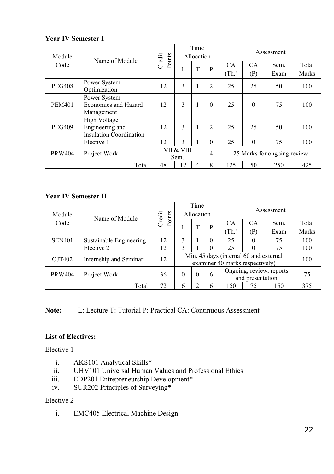| Module        | Name of Module                                                    | Credit<br>Points | Time<br>Allocation      |   |                | Assessment                  |                  |              |                |
|---------------|-------------------------------------------------------------------|------------------|-------------------------|---|----------------|-----------------------------|------------------|--------------|----------------|
| Code          |                                                                   |                  | L                       | T | P              | CA<br>(Th.)                 | <b>CA</b><br>(P) | Sem.<br>Exam | Total<br>Marks |
| <b>PEG408</b> | Power System<br>Optimization                                      | 12               | 3                       | 1 | $\overline{2}$ | 25                          | 25               | 50           | 100            |
| <b>PEM401</b> | Power System<br>Economics and Hazard<br>Management                | 12               | 3                       | 1 | $\theta$       | 25                          | $\theta$         | 75           | 100            |
| <b>PEG409</b> | High Voltage<br>Engineering and<br><b>Insulation Coordination</b> | 12               | 3                       | 1 | 2              | 25                          | 25               | 50           | 100            |
|               | Elective 1                                                        | 12               | $\mathcal{E}$           |   | $\theta$       | 25                          | $\Omega$         | 75           | 100            |
| <b>PRW404</b> | Project Work                                                      |                  | VII & VIII<br>4<br>Sem. |   |                | 25 Marks for ongoing review |                  |              |                |
|               | Total                                                             |                  | 12                      | 4 | 8              | 125                         | 50               | 250          | 425            |

### **Year IV Semester II**

| Module        | Name of Module          | Credit<br>Points | Time<br>Allocation        |                                                                           |          | Assessment                                   |          |      |       |
|---------------|-------------------------|------------------|---------------------------|---------------------------------------------------------------------------|----------|----------------------------------------------|----------|------|-------|
| Code          |                         |                  |                           | T                                                                         | P        | CA                                           | CA       | Sem. | Total |
|               |                         |                  | Ι.                        |                                                                           |          | (Th.)                                        | (P)      | Exam | Marks |
| <b>SEN401</b> | Sustainable Engineering | 12               |                           |                                                                           | $\Omega$ | 25                                           |          | 75   | 100   |
|               | Elective 2              | 12               | 3                         |                                                                           | 0        | 25                                           | $\Omega$ | 75   | 100   |
| OJT402        | Internship and Seminar  | 12               |                           | Min. 45 days (internal 60 and external<br>examiner 40 marks respectively) |          |                                              |          |      | 100   |
| <b>PRW404</b> | Project Work            | 36               | $\Omega$<br>$\Omega$<br>6 |                                                                           |          | Ongoing, review, reports<br>and presentation |          |      | 75    |
|               | Total                   |                  | 6                         | 150<br>150<br>75<br>◠<br>h                                                |          |                                              | 375      |      |       |

**Note:** L: Lecture T: Tutorial P: Practical CA: Continuous Assessment

#### **List of Electives:**

Elective 1

- i. AKS101 Analytical Skills\*<br>ii. UHV101 Universal Human
- UHV101 Universal Human Values and Professional Ethics
- iii. EDP201 Entrepreneurship Development\*
- iv. SUR202 Principles of Surveying\*

#### Elective 2

i. EMC405 Electrical Machine Design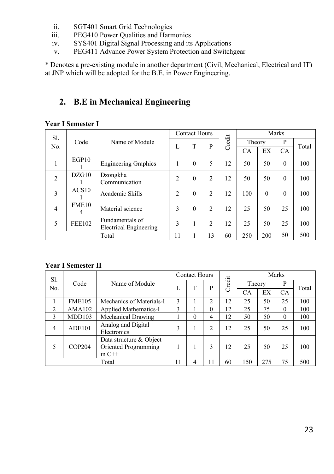- ii. SGT401 Smart Grid Technologies
- iii. PEG410 Power Qualities and Harmonics
- iv. SYS401 Digital Signal Processing and its Applications
- v. PEG411 Advance Power System Protection and Switchgear

\* Denotes a pre-existing module in another department (Civil, Mechanical, Electrical and IT) at JNP which will be adopted for the B.E. in Power Engineering.

### **2. B.E in Mechanical Engineering**

#### **Year I Semester I**

| Sl.            |               |                                                  |                | <b>Contact Hours</b> |                |        |        |          | Marks     |       |
|----------------|---------------|--------------------------------------------------|----------------|----------------------|----------------|--------|--------|----------|-----------|-------|
| No.            | Code          | Name of Module                                   | L              | T                    | P              | Credit | Theory |          | P         |       |
|                |               |                                                  |                |                      |                |        | CA     | EX       | <b>CA</b> | Total |
|                | EGP10         | <b>Engineering Graphics</b>                      |                | $\theta$             | 5              | 12     | 50     | 50       | $\theta$  | 100   |
| $\overline{2}$ | DZG10         | Dzongkha<br>Communication                        | 2              | $\theta$             | $\overline{2}$ | 12     | 50     | 50       | $\theta$  | 100   |
| 3              | ACS10         | Academic Skills                                  | $\overline{2}$ | $\theta$             | $\overline{2}$ | 12     | 100    | $\Omega$ | $\theta$  | 100   |
| $\overline{4}$ | FME10<br>4    | Material science                                 | 3              | $\Omega$             | $\overline{2}$ | 12     | 25     | 50       | 25        | 100   |
| 5              | <b>FEE102</b> | Fundamentals of<br><b>Electrical Engineering</b> | 3              |                      | 2              | 12     | 25     | 50       | 25        | 100   |
|                |               | Total                                            | 11             |                      | 13             | 60     | 250    | 200      | 50        | 500   |

| Sl.            |               |                                                             |   | <b>Contact Hours</b> |                |        | Marks  |    |          |       |
|----------------|---------------|-------------------------------------------------------------|---|----------------------|----------------|--------|--------|----|----------|-------|
| No.            | Code          | Name of Module                                              | L | T                    | P              | Credit | Theory |    | P        | Total |
|                |               |                                                             |   |                      |                |        | CА     | EX | CA       |       |
|                | <b>FME105</b> | Mechanics of Materials-I                                    | 3 |                      | $\overline{2}$ | 12     | 25     | 50 | 25       | 100   |
| $\overline{2}$ | AMA102        | Applied Mathematics-I                                       | 3 |                      | $\theta$       | 12     | 25     | 75 | $\Omega$ | 100   |
| 3              | MDD103        | Mechanical Drawing                                          |   | $\theta$             | 4              | 12     | 50     | 50 | $\theta$ | 100   |
| $\overline{4}$ | <b>ADE101</b> | Analog and Digital<br>Electronics                           | 3 |                      | 2              | 12     | 25     | 50 | 25       | 100   |
| 5              | <b>COP204</b> | Data structure & Object<br>Oriented Programming<br>in $C++$ |   |                      | 3              | 12     | 25     | 50 | 25       | 100   |
| Total          |               | 11                                                          | 4 | 11                   | 60             | 150    | 275    | 75 | 500      |       |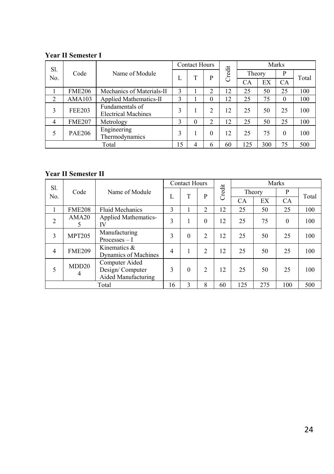| Sl.            |               |                                               |    | <b>Contact Hours</b> |          |        |        |     | Marks     |       |
|----------------|---------------|-----------------------------------------------|----|----------------------|----------|--------|--------|-----|-----------|-------|
| No.            | Code          | Name of Module                                | L  | T                    | P        | Credit | Theory |     | P         | Total |
|                |               |                                               |    |                      |          |        | CA     | EX  | <b>CA</b> |       |
|                | <b>FME206</b> | Mechanics of Materials-II                     | 3  |                      | 2        | 12     | 25     | 50  | 25        | 100   |
| $\overline{c}$ | AMA103        | Applied Mathematics-II                        | 3  |                      | $\theta$ | 12     | 25     | 75  | 0         | 100   |
| 3              | <b>FEE203</b> | Fundamentals of<br><b>Electrical Machines</b> | 3  |                      | ↑        | 12     | 25     | 50  | 25        | 100   |
| 4              | <b>FME207</b> | Metrology                                     | 3  | $\Omega$             | 2        | 12     | 25     | 50  | 25        | 100   |
| 5              | <b>PAE206</b> | Engineering<br>Thermodynamics                 | 3  |                      | $\theta$ | 12     | 25     | 75  | $\Omega$  | 100   |
|                |               | Total                                         | 15 | 4                    | 6        | 60     | 125    | 300 | 75        | 500   |

| Sl.            |                        |                                                          |                | <b>Contact Hours</b> |                |        |           |        | Marks     |       |
|----------------|------------------------|----------------------------------------------------------|----------------|----------------------|----------------|--------|-----------|--------|-----------|-------|
| No.            | Code                   | Name of Module                                           | L              | T                    | P              | Credit |           | Theory | P         | Total |
|                |                        |                                                          |                |                      |                |        | <b>CA</b> | EX     | <b>CA</b> |       |
|                | <b>FME208</b>          | <b>Fluid Mechanics</b>                                   | 3              |                      | 2              | 12     | 25        | 50     | 25        | 100   |
| $\overline{2}$ | AMA <sub>20</sub><br>5 | Applied Mathematics-<br>IV                               | 3              |                      | $\theta$       | 12     | 25        | 75     | $\theta$  | 100   |
| 3              | <b>MPT205</b>          | Manufacturing<br>$Processes-I$                           | 3              | $\theta$             | $\overline{c}$ | 12     | 25        | 50     | 25        | 100   |
| 4              | <b>FME209</b>          | Kinematics $\&$<br>Dynamics of Machines                  | $\overline{4}$ |                      | $\overline{c}$ | 12     | 25        | 50     | 25        | 100   |
| 5              | MDD <sub>20</sub><br>4 | Computer Aided<br>Design/Computer<br>Aided Manufacturing | 3              | $\Omega$             | $\overline{2}$ | 12     | 25        | 50     | 25        | 100   |
|                |                        | Total                                                    | 16             | 3                    | 8              | 60     | 125       | 275    | 100       | 500   |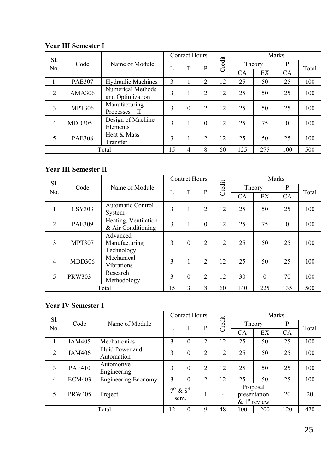| Sl.            |               |                                       |    | <b>Contact Hours</b> |                |        |     |        | Marks    |       |
|----------------|---------------|---------------------------------------|----|----------------------|----------------|--------|-----|--------|----------|-------|
| No.            | Code          | Name of Module                        | L  | T                    | P              | Credit |     | Theory | P        | Total |
|                |               |                                       |    |                      |                |        | CA  | EX     | CA       |       |
|                | <b>PAE307</b> | <b>Hydraulic Machines</b>             | 3  |                      | 2              | 12     | 25  | 50     | 25       | 100   |
| 2              | <b>AMA306</b> | Numerical Methods<br>and Optimization | 3  |                      | 2              | 12     | 25  | 50     | 25       | 100   |
| 3              | <b>MPT306</b> | Manufacturing<br>$Processes - II$     | 3  | $\Omega$             | $\overline{2}$ | 12     | 25  | 50     | 25       | 100   |
| $\overline{4}$ | MDD305        | Design of Machine<br>Elements         | 3  |                      | $\Omega$       | 12     | 25  | 75     | $\theta$ | 100   |
| 5              | <b>PAE308</b> | Heat & Mass<br>Transfer               | 3  |                      | $\overline{c}$ | 12     | 25  | 50     | 25       | 100   |
|                |               | Total                                 | 15 | 4                    | 8              | 60     | 125 | 275    | 100      | 500   |

#### **Year III Semester II**

| Sl.            |               |                                            |    | <b>Contact Hours</b> |                |        |     |          | Marks    |       |
|----------------|---------------|--------------------------------------------|----|----------------------|----------------|--------|-----|----------|----------|-------|
| No.            | Code          | Name of Module                             | L  | T                    | P              | Credit |     | Theory   | P        | Total |
|                |               |                                            |    |                      |                |        | CA  | EX       | CA       |       |
| 1              | <b>CSY303</b> | <b>Automatic Control</b><br>System         | 3  |                      | $\overline{c}$ | 12     | 25  | 50       | 25       | 100   |
| 2              | <b>PAE309</b> | Heating, Ventilation<br>& Air Conditioning | 3  |                      | $\theta$       | 12     | 25  | 75       | $\theta$ | 100   |
| 3              | <b>MPT307</b> | Advanced<br>Manufacturing<br>Technology    | 3  | $\Omega$             | $\overline{2}$ | 12     | 25  | 50       | 25       | 100   |
| $\overline{4}$ | MDD306        | Mechanical<br>Vibrations                   | 3  |                      | $\overline{c}$ | 12     | 25  | 50       | 25       | 100   |
| 5              | <b>PRW303</b> | Research<br>Methodology                    | 3  | $\theta$             | $\overline{2}$ | 12     | 30  | $\theta$ | 70       | 100   |
|                |               | Total                                      | 15 | $\mathcal{L}$        | 8              | 60     | 140 | 225      | 135      | 500   |

| Sl. |               |                               |    | <b>Contact Hours</b>  |   |        |     |                                                         | Marks     |       |
|-----|---------------|-------------------------------|----|-----------------------|---|--------|-----|---------------------------------------------------------|-----------|-------|
| No. | Code          | Name of Module                | L  | T                     | P | Credit |     | Theory                                                  | P         | Total |
|     |               |                               |    |                       |   |        | CA  | EX                                                      | <b>CA</b> |       |
|     | IAM405        | Mechatronics                  | 3  | $\theta$              | 2 | 12     | 25  | 50                                                      | 25        | 100   |
| 2   | <b>IAM406</b> | Fluid Power and<br>Automation | 3  | $\theta$              | 2 | 12     | 25  | 50                                                      | 25        | 100   |
| 3   | <b>PAE410</b> | Automotive<br>Engineering     | 3  | $\theta$              | 2 | 12     | 25  | 50                                                      | 25        | 100   |
| 4   | <b>ECM403</b> | <b>Engineering Economy</b>    | 3  | $\theta$              | 2 | 12     | 25  | 50                                                      | 25        | 100   |
| 5   | <b>PRW405</b> | Project                       |    | $7th$ & $8th$<br>sem. |   | -      |     | Proposal<br>presentation<br>$\&$ 1 <sup>st</sup> review | 20        | 20    |
|     |               | Total                         | 12 | $\Omega$              | 9 | 48     | 100 | 200                                                     | 120       | 420   |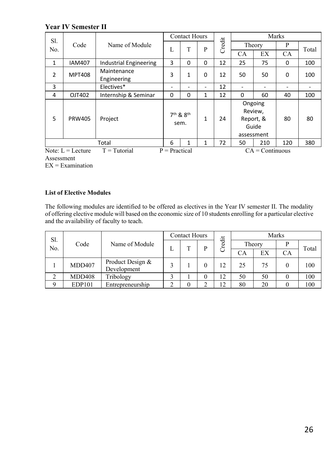**Year IV Semester II** 

| Sl.          |               |                            |   | <b>Contact Hours</b>                      |                          |        |           |                                                        | Marks     |       |
|--------------|---------------|----------------------------|---|-------------------------------------------|--------------------------|--------|-----------|--------------------------------------------------------|-----------|-------|
| No.          | Code          | Name of Module             | L | T                                         | P                        | Credit | Theory    |                                                        | P         | Total |
|              |               |                            |   |                                           |                          |        | <b>CA</b> | EX                                                     | <b>CA</b> |       |
| $\mathbf{1}$ | <b>IAM407</b> | Industrial Engineering     | 3 | $\Omega$                                  | $\mathbf 0$              | 12     | 25        | 75                                                     | 0         | 100   |
| 2            | <b>MPT408</b> | Maintenance<br>Engineering | 3 | 1                                         | $\Omega$                 | 12     | 50        | 50                                                     | 0         | 100   |
| 3            |               | Electives*                 | - |                                           | $\overline{\phantom{0}}$ | 12     |           |                                                        | ٠         |       |
| 4            | OJT402        | Internship & Seminar       | 0 | $\Omega$                                  | $\mathbf{1}$             | 12     | $\Omega$  | 60                                                     | 40        | 100   |
| 5            | <b>PRW405</b> | Project                    |   | 7 <sup>th</sup> & 8 <sup>th</sup><br>sem. | $\mathbf{1}$             | 24     |           | Ongoing<br>Review,<br>Report, &<br>Guide<br>assessment | 80        | 80    |
|              |               | Total                      | 6 |                                           | $\mathbf{1}$             | 72     | 50        | 210                                                    | 120       | 380   |

Note:  $L =$  Lecture  $T =$  Tutorial  $P =$  Practical  $CA =$  CA = Continuous Assessment

 $EX = Examination$ 

#### **List of Elective Modules**

The following modules are identified to be offered as electives in the Year IV semester II. The modality of offering elective module will based on the economic size of 10 students enrolling for a particular elective and the availability of faculty to teach.

| Sl. |               |                                 |   | <b>Contact Hours</b> |   |        |        |    | Marks    |       |
|-----|---------------|---------------------------------|---|----------------------|---|--------|--------|----|----------|-------|
| No. | Code          | Name of Module                  |   |                      | D | Credit | Theory |    |          | Total |
|     |               |                                 | L |                      |   |        | СA     | EX | СA       |       |
|     | MDD407        | Product Design &<br>Development |   |                      |   | 12     | 25     | 75 | $\theta$ | 100   |
|     | <b>MDD408</b> | Tribology                       |   |                      |   | 12     | 50     | 50 |          | 100   |
| Q   | <b>EDP101</b> | Entrepreneurship                |   |                      |   | 12     | 80     | 20 |          | 100   |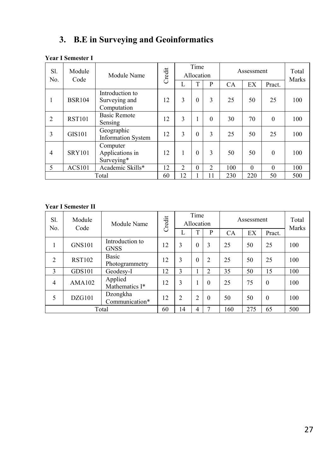### **3. B.E in Surveying and Geoinformatics**

#### Sl. No. Module Vioquie Module Name Credit Time Allocation Assessment Total Marks  $L$   $T$   $P$   $CA$   $EX$   $P$   $P$ 1 BSR104 Introduction to Surveying and Computation  $12 \mid 3 \mid 0 \mid 3 \mid 25 \mid 50 \mid 25 \mid 100$ 2 RST101 Basic Remote Sensing  $\begin{bmatrix} 12 & 3 & 1 & 0 & 30 & 70 & 0 & 100 \\ 12 & 3 & 1 & 0 & 30 & 70 & 0 \\ 0 & 0 & 0 & 0 & 0 & 100 & 0 \\ 0 & 0 & 0 & 0 & 0 & 0 & 0 \\ 0 & 0 & 0 & 0 & 0 & 0 & 0 \\ 0 & 0 & 0 & 0 & 0 & 0 & 0 \\ 0 & 0 & 0 & 0 & 0 & 0 & 0 \\ 0 & 0 & 0 & 0 & 0 & 0 & 0 \\ 0 & 0 & 0 & 0 & 0 & 0 & 0 \\ 0 &$ 3 GIS101 Geographic Information System 12 3 0 3 25 50 25 100 4 SRY101 Computer Applications in Surveying\*  $12 \mid 1 \mid 0 \mid 3 \mid 50 \mid 50 \mid 0 \mid 100$ 5 ACS101 Academic Skills\* 12 2 0 2 100 0 0 100<br>Total 60 12 1 11 230 220 50 500 Total 60 12 1 11 230 220 50 500

#### **Year I Semester I**

| Sl.<br>No.     | Module<br>Code | Module Name                    | Credit |    | Time<br>Allocation |                |     | Assessment |          | Total<br>Marks |
|----------------|----------------|--------------------------------|--------|----|--------------------|----------------|-----|------------|----------|----------------|
|                |                |                                |        |    |                    | P              | CA  | EX         | Pract.   |                |
|                | <b>GNS101</b>  | Introduction to<br><b>GNSS</b> | 12     | 3  | $\Omega$           | 3              | 25  | 50         | 25       | 100            |
| 2              | <b>RST102</b>  | Basic<br>Photogrammetry        | 12     | 3  | $\Omega$           | $\overline{2}$ | 25  | 50         | 25       | 100            |
| 3              | <b>GDS101</b>  | Geodesy-I                      | 12     | 3  |                    | $\overline{c}$ | 35  | 50         | 15       | 100            |
| $\overline{4}$ | AMA102         | Applied<br>Mathematics I*      | 12     | 3  |                    | $\theta$       | 25  | 75         | $\theta$ | 100            |
| 5              | DZG101         | Dzongkha<br>Communication*     | 12     | 2  | $\overline{c}$     | $\theta$       | 50  | 50         | $\theta$ | 100            |
|                |                | Total                          | 60     | 14 | 4                  | ⇁              | 160 | 275        | 65       | 500            |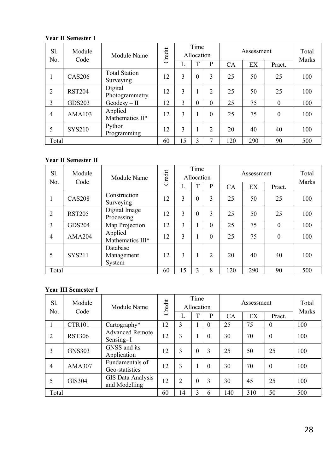| Sl.<br>No.     | Module<br>Code | Module Name                       | Credit |               | Time<br>Allocation |                |     | Assessment |          | Total<br>Marks |
|----------------|----------------|-----------------------------------|--------|---------------|--------------------|----------------|-----|------------|----------|----------------|
|                |                |                                   |        |               |                    | P              | CA  | EX         | Pract.   |                |
| -              | <b>CAS206</b>  | <b>Total Station</b><br>Surveying | 12     | $\mathcal{E}$ | $\Omega$           | 3              | 25  | 50         | 25       | 100            |
| $\overline{2}$ | <b>RST204</b>  | Digital<br>Photogrammetry         | 12     | 3             |                    | $\overline{c}$ | 25  | 50         | 25       | 100            |
| 3              | <b>GDS203</b>  | $Geodesy - II$                    | 12     | 3             | $\theta$           | $\Omega$       | 25  | 75         | $\Omega$ | 100            |
| $\overline{4}$ | AMA103         | Applied<br>Mathematics II*        | 12     | 3             |                    | $\Omega$       | 25  | 75         | $\Omega$ | 100            |
| 5              | <b>SYS210</b>  | Python<br>Programming             | 12     | 3             |                    | $\overline{2}$ | 20  | 40         | 40       | 100            |
| Total          |                |                                   | 60     | 15            | 3                  |                | 120 | 290        | 90       | 500            |

#### **Year II Semester II**

| Sl.<br>No.     | Module<br>Code | Module Name                      | Credit |    | Time<br>Allocation |          |           | Assessment |          | Total<br>Marks |
|----------------|----------------|----------------------------------|--------|----|--------------------|----------|-----------|------------|----------|----------------|
|                |                |                                  |        |    | T                  | P        | <b>CA</b> | EX         | Pract.   |                |
|                | <b>CAS208</b>  | Construction<br>Surveying        | 12     | 3  | $\theta$           | 3        | 25        | 50         | 25       | 100            |
| $\overline{2}$ | <b>RST205</b>  | Digital Image<br>Processing      | 12     | 3  | $\theta$           | 3        | 25        | 50         | 25       | 100            |
| 3              | <b>GDS204</b>  | Map Projection                   | 12     | 3  |                    | $\theta$ | 25        | 75         | $\theta$ | 100            |
| 4              | AMA204         | Applied<br>Mathematics III*      | 12     | 3  |                    | $\Omega$ | 25        | 75         | $\theta$ | 100            |
| 5              | <b>SYS211</b>  | Database<br>Management<br>System | 12     | 3  |                    | 2        | 20        | 40         | 40       | 100            |
| Total          |                |                                  | 60     | 15 | 3                  | 8        | 120       | 290        | 90       | 500            |

| Sl.<br>No.     | Module<br>Code | Module Name                         | Credit |               | Time<br>Allocation |          |     | Assessment |          | Total<br>Marks |
|----------------|----------------|-------------------------------------|--------|---------------|--------------------|----------|-----|------------|----------|----------------|
|                |                |                                     |        | Ι.            |                    | P        | CA  | EX         | Pract.   |                |
|                | <b>CTR101</b>  | Cartography*                        | 12     | $\mathcal{E}$ |                    | $\Omega$ | 25  | 75         | $\theta$ | 100            |
| $\overline{2}$ | <b>RST306</b>  | <b>Advanced Remote</b><br>Sensing-I | 12     | 3             |                    | $\theta$ | 30  | 70         | $\theta$ | 100            |
| 3              | <b>GNS303</b>  | GNSS and its<br>Application         | 12     | 3             | $\theta$           | 3        | 25  | 50         | 25       | 100            |
| $\overline{4}$ | AMA307         | Fundamentals of<br>Geo-statistics   | 12     | 3             |                    | $\theta$ | 30  | 70         | $\theta$ | 100            |
| 5              | GIS304         | GIS Data Analysis<br>and Modelling  | 12     | 2             | $\theta$           | 3        | 30  | 45         | 25       | 100            |
| Total          |                |                                     | 60     | 14            | 3                  | 6        | 140 | 310        | 50       | 500            |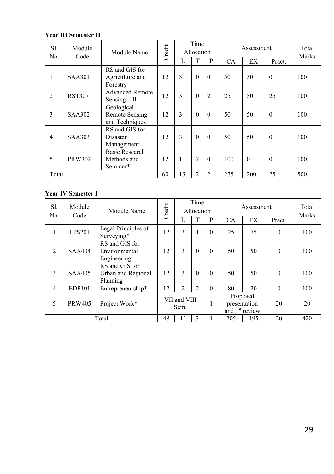| Sl.<br>No.     | Module<br>Code | Module Name                                           | Credit |    | Time<br>Allocation |                |     | Assessment |          | Total<br>Marks |
|----------------|----------------|-------------------------------------------------------|--------|----|--------------------|----------------|-----|------------|----------|----------------|
|                |                |                                                       |        | L  | T                  | P              | CA  | EX         | Pract.   |                |
| 1              | <b>SAA301</b>  | RS and GIS for<br>Agriculture and<br>Forestry         | 12     | 3  | $\theta$           | $\Omega$       | 50  | 50         | $\theta$ | 100            |
| $\overline{2}$ | <b>RST307</b>  | <b>Advanced Remote</b><br>$Sensing - II$              | 12     | 3  | $\Omega$           | $\overline{2}$ | 25  | 50         | 25       | 100            |
| 3              | <b>SAA302</b>  | Geological<br><b>Remote Sensing</b><br>and Techniques | 12     | 3  | $\Omega$           | $\Omega$       | 50  | 50         | $\theta$ | 100            |
| $\overline{4}$ | <b>SAA303</b>  | RS and GIS for<br>Disaster<br>Management              | 12     | 3  | $\theta$           | $\Omega$       | 50  | 50         | $\theta$ | 100            |
| 5              | <b>PRW302</b>  | <b>Basic Research</b><br>Methods and<br>Seminar*      | 12     | 1  | $\overline{c}$     | $\theta$       | 100 | $\Omega$   | $\theta$ | 100            |
| Total          |                |                                                       | 60     | 13 | $\overline{c}$     | $\overline{2}$ | 275 | 200        | 25       | 500            |

| Sl.<br>No.     | Module<br>Code | Module Name                                      | Credit |                      | Time<br>Allocation |          |     | Assessment                                             |          | Total<br>Marks |
|----------------|----------------|--------------------------------------------------|--------|----------------------|--------------------|----------|-----|--------------------------------------------------------|----------|----------------|
|                |                |                                                  |        | L                    | T                  | P        | CA  | EX                                                     | Pract.   |                |
| 1              | <b>LPS201</b>  | Legal Principles of<br>Surveying*                | 12     | 3                    |                    | $\Omega$ | 25  | 75                                                     | $\theta$ | 100            |
| $\overline{2}$ | <b>SAA404</b>  | RS and GIS for<br>Environmental<br>Engineering   | 12     | 3                    | $\Omega$           | $\Omega$ | 50  | 50                                                     | $\theta$ | 100            |
| 3              | <b>SAA405</b>  | RS and GIS for<br>Urban and Regional<br>Planning | 12     | 3                    | $\theta$           | $\Omega$ | 50  | 50                                                     | $\theta$ | 100            |
| $\overline{4}$ | <b>EDP101</b>  | Entrepreneurship*                                | 12     | $\mathfrak{D}$       | $\mathfrak{D}$     | $\Omega$ | 80  | 20                                                     | $\Omega$ | 100            |
| 5              | <b>PRW405</b>  | Project Work*                                    |        | VII and VIII<br>Sem. |                    |          |     | Proposed<br>presentation<br>and 1 <sup>st</sup> review | 20       | 20             |
|                |                | Total                                            | 48     | 11                   | 3                  |          | 205 | 195                                                    | 20       | 420            |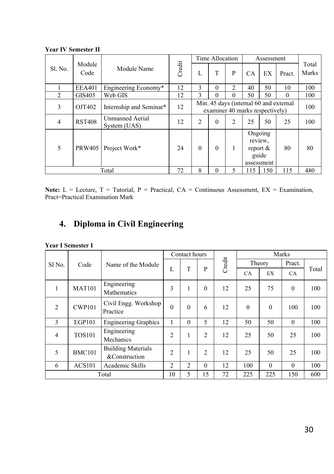|                |                |                                 |        |                | Time Allocation |                                 |           | Assessment                                               |                                        |                |
|----------------|----------------|---------------------------------|--------|----------------|-----------------|---------------------------------|-----------|----------------------------------------------------------|----------------------------------------|----------------|
| Sl. No.        | Module<br>Code | Module Name                     | Credit | L              | T               | P                               | <b>CA</b> | <b>EX</b>                                                | Pract.                                 | Total<br>Marks |
|                | <b>EEA401</b>  | Engineering Economy*            | 12     | 3              | $\theta$        | 2                               | 40        | 50                                                       | 10                                     | 100            |
| $\mathfrak{D}$ | GIS405         | Web GIS                         | 12     | 3              | 0               | 0                               | 50        | 50                                                       | $\theta$                               | 100            |
| 3              | OJT402         | Internship and Seminar*         | 12     |                |                 | examiner 40 marks respectively) |           |                                                          | Min. 45 days (internal 60 and external | 100            |
| 4              | <b>RST408</b>  | Unmanned Aerial<br>System (UAS) | 12     | $\overline{c}$ | $\theta$        | $\overline{c}$                  | 25        | 50                                                       | 25                                     | 100            |
| 5              | <b>PRW405</b>  | Project Work*                   | 24     | $\Omega$       | $\theta$        |                                 |           | Ongoing<br>review.<br>report $\&$<br>guide<br>assessment | 80                                     | 80             |
|                |                | Total                           | 72     | 8              | $\theta$        | 5                               | 115       | 150                                                      | 115                                    | 480            |

**Year IV Semester II** 

**Note:** L = Lecture, T = Tutorial, P = Practical,  $CA =$  Continuous Assessment,  $EX =$  Examination, Pract=Practical Examination Mark

### **4. Diploma in Civil Engineering**

|  |  | <b>Year I Semester I</b> |  |
|--|--|--------------------------|--|
|--|--|--------------------------|--|

|                |               |                                            |                | Contact hours  |                |        |              |              | Marks    |       |
|----------------|---------------|--------------------------------------------|----------------|----------------|----------------|--------|--------------|--------------|----------|-------|
| Sl No.         | Code          | Name of the Module                         |                |                |                | Credit |              | Theory       | Pract.   |       |
|                |               |                                            | L              | T              | P              |        | <b>CA</b>    | EX           | CA.      | Total |
| 1              | <b>MAT101</b> | Engineering<br>Mathematics                 | 3              | 1              | $\Omega$       | 12     | 25           | 75           | $\theta$ | 100   |
| $\overline{2}$ | <b>CWP101</b> | Civil Engg. Workshop<br>Practice           | $\theta$       | $\theta$       | 6              | 12     | $\mathbf{0}$ | $\mathbf{0}$ | 100      | 100   |
| 3              | EGP101        | <b>Engineering Graphics</b>                | 1              | $\theta$       | 5              | 12     | 50           | 50           | $\Omega$ | 100   |
| 4              | <b>TOS101</b> | Engineering<br>Mechanics                   | $\overline{2}$ | 1              | $\overline{2}$ | 12     | 25           | 50           | 25       | 100   |
| 5              | <b>BMC101</b> | <b>Building Materials</b><br>&Construction | $\overline{2}$ | 1              | $\overline{2}$ | 12     | 25           | 50           | 25       | 100   |
| 6              | <b>ACS101</b> | Academic Skills                            | $\overline{c}$ | $\overline{2}$ | $\Omega$       | 12     | 100          | $\theta$     | $\theta$ | 100   |
|                |               | Total                                      | 10             | 5              | 15             | 72     | 225          | 225          | 150      | 600   |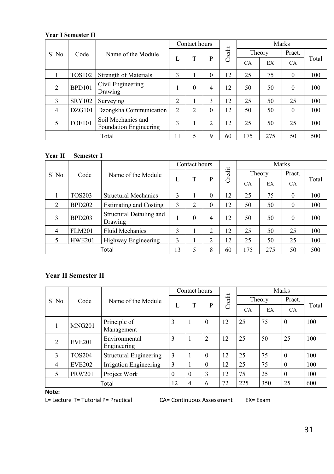|                |               |                                                     |                | Contact hours  |                |        |           |        | Marks     |       |
|----------------|---------------|-----------------------------------------------------|----------------|----------------|----------------|--------|-----------|--------|-----------|-------|
| Sl No.         | Code          | Name of the Module                                  |                |                |                | Credit |           | Theory | Pract.    |       |
|                |               |                                                     | L              | T              | P              |        | <b>CA</b> | EX     | <b>CA</b> | Total |
|                | <b>TOS102</b> | Strength of Materials                               | 3              |                | $\mathbf{0}$   | 12     | 25        | 75     | $\theta$  | 100   |
| $\overline{2}$ | <b>BPD101</b> | Civil Engineering<br>Drawing                        |                | $\theta$       | 4              | 12     | 50        | 50     | $\theta$  | 100   |
| 3              | <b>SRY102</b> | Surveying                                           | 2              |                | 3              | 12     | 25        | 50     | 25        | 100   |
| $\overline{4}$ | DZG101        | Dzongkha Communication                              | $\overline{c}$ | $\overline{2}$ | $\mathbf{0}$   | 12     | 50        | 50     | $\theta$  | 100   |
| 5              | <b>FOE101</b> | Soil Mechanics and<br><b>Foundation Engineering</b> | 3              |                | $\overline{c}$ | 12     | 25        | 50     | 25        | 100   |
|                |               | Total                                               | 11             | 5              | 9              | 60     | 175       | 275    | 50        | 500   |

#### **Year II Semester I**

|                |               |                                     |    |          | Contact hours    |        | Marks     |        |              |       |  |  |
|----------------|---------------|-------------------------------------|----|----------|------------------|--------|-----------|--------|--------------|-------|--|--|
| Sl No.         | Code          | Name of the Module                  |    |          |                  | Credit |           | Theory | Pract.       |       |  |  |
|                |               |                                     | L  | T        | P                |        | <b>CA</b> | EX     | <b>CA</b>    | Total |  |  |
|                | <b>TOS203</b> | <b>Structural Mechanics</b>         | 3  |          | $\theta$         | 12     | 25        | 75     | $\theta$     | 100   |  |  |
| $\overline{2}$ | <b>BPD202</b> | <b>Estimating and Costing</b>       | 3  | c        | $\boldsymbol{0}$ | 12     | 50        | 50     | $\mathbf{0}$ | 100   |  |  |
| $\mathcal{E}$  | <b>BPD203</b> | Structural Detailing and<br>Drawing |    | $\theta$ | 4                | 12     | 50        | 50     | $\Omega$     | 100   |  |  |
| $\overline{4}$ | <b>FLM201</b> | <b>Fluid Mechanics</b>              | 3  |          | 2                | 12     | 25        | 50     | 25           | 100   |  |  |
|                | <b>HWE201</b> | Highway Engineering                 | 3  |          | 2                | 12     | 25        | 50     | 25           | 100   |  |  |
|                |               | Total                               | 13 | 5        | 8                | 60     | 175       | 275    | 50           | 500   |  |  |

### **Year II Semester II**

|                |               |                            |          | Contact hours  |                |        |           |        | Marks        |       |
|----------------|---------------|----------------------------|----------|----------------|----------------|--------|-----------|--------|--------------|-------|
| Sl No.         | Code          | Name of the Module         |          |                |                | Credit |           | Theory | Pract.       |       |
|                |               |                            | L        | T              | P              |        | <b>CA</b> | EX     | <b>CA</b>    | Total |
|                | <b>MNG201</b> | Principle of<br>Management | 3        | 1              | $\Omega$       | 12     | 25        | 75     | $\mathbf{0}$ | 100   |
|                |               | Environmental              | 3        | 1              | $\overline{c}$ | 12     | 25        | 50     | 25           | 100   |
| $\mathfrak{D}$ | <b>EVE201</b> | Engineering                |          |                |                |        |           |        |              |       |
| 3              | <b>TOS204</b> | Structural Engineering     | 3        |                | $\theta$       | 12     | 25        | 75     | $\theta$     | 100   |
| $\overline{4}$ | <b>EVE202</b> | Irrigation Engineering     | 3        |                | 0              | 12     | 25        | 75     | $\Omega$     | 100   |
| 5              | <b>PRW201</b> | Project Work               | $\theta$ | $\theta$       | 3              | 12     | 75        | 25     | $\Omega$     | 100   |
|                |               | Total                      | 12       | $\overline{4}$ | 6              | 72     | 225       | 350    | 25           | 600   |

#### **Note:**

L= Lecture T= Tutorial P= Practical CA= Continuous Assessment EX= Exam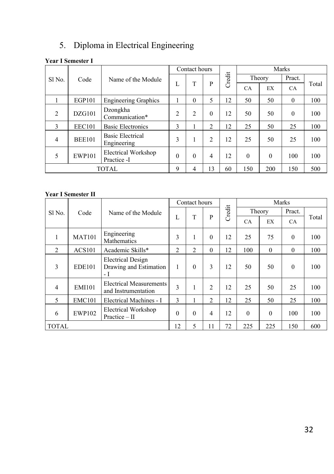# 5. Diploma in Electrical Engineering

### **Year I Semester I**

|                    |               |                                           |                | Contact hours  |                |        |          |          | Marks        |       |
|--------------------|---------------|-------------------------------------------|----------------|----------------|----------------|--------|----------|----------|--------------|-------|
| Sl <sub>No</sub> . | Code          | Name of the Module                        |                |                |                | Credit |          | Theory   | Pract.       |       |
|                    |               |                                           | L              | T              | P              |        | CA       | EX       | <b>CA</b>    | Total |
|                    | EGP101        | <b>Engineering Graphics</b>               |                | $\theta$       | 5              | 12     | 50       | 50       | $\mathbf{0}$ | 100   |
| 2                  | DZG101        | Dzongkha<br>Communication*                | $\overline{c}$ | $\overline{c}$ | $\theta$       | 12     | 50       | 50       | $\theta$     | 100   |
| 3                  | <b>EEC101</b> | <b>Basic Electronics</b>                  | 3              |                | $\overline{c}$ | 12     | 25       | 50       | 25           | 100   |
| $\overline{4}$     | <b>BEE101</b> | <b>Basic Electrical</b><br>Engineering    | 3              |                | $\overline{2}$ | 12     | 25       | 50       | 25           | 100   |
| 5                  | <b>EWP101</b> | <b>Electrical Workshop</b><br>Practice -I | $\theta$       | $\theta$       | $\overline{4}$ | 12     | $\theta$ | $\Omega$ | 100          | 100   |
|                    |               | <b>TOTAL</b>                              | 9              | 4              | 13             | 60     | 150      | 200      | 150          | 500   |

|                   |               |                                                           | Contact hours  |                |                |        |           | Marks    |           |       |
|-------------------|---------------|-----------------------------------------------------------|----------------|----------------|----------------|--------|-----------|----------|-----------|-------|
| Sl <sub>No.</sub> | Code          | Name of the Module                                        |                |                |                | Credit |           | Theory   | Pract.    |       |
|                   |               |                                                           | L              | T              | P              |        | <b>CA</b> | EX       | <b>CA</b> | Total |
| 1                 | <b>MAT101</b> | Engineering<br>Mathematics                                | 3              | 1              | $\theta$       | 12     | 25        | 75       | $\Omega$  | 100   |
| 2                 | <b>ACS101</b> | Academic Skills*                                          | $\mathfrak{D}$ | $\overline{c}$ | $\theta$       | 12     | 100       | $\theta$ | $\Omega$  | 100   |
| 3                 | <b>EDE101</b> | <b>Electrical Design</b><br>Drawing and Estimation<br>- 1 | 1              | $\theta$       | 3              | 12     | 50        | 50       | $\theta$  | 100   |
| $\overline{4}$    | <b>EMI101</b> | <b>Electrical Measurements</b><br>and Instrumentation     | 3              | 1              | $\overline{2}$ | 12     | 25        | 50       | 25        | 100   |
| 5                 | <b>EMC101</b> | Electrical Machines - I                                   | 3              |                | $\overline{c}$ | 12     | 25        | 50       | 25        | 100   |
| 6                 | <b>EWP102</b> | Electrical Workshop<br>Practice $-$ II                    | $\theta$       | $\theta$       | $\overline{4}$ | 12     | $\theta$  | $\theta$ | 100       | 100   |
| <b>TOTAL</b>      |               |                                                           | 12             | 5              | 11             | 72     | 225       | 225      | 150       | 600   |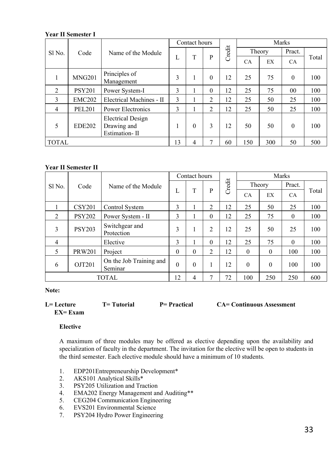|                |               |                                                          |    | Contact hours |                |        |           |        | Marks          |       |
|----------------|---------------|----------------------------------------------------------|----|---------------|----------------|--------|-----------|--------|----------------|-------|
| Sl No.         | Code          | Name of the Module                                       |    |               |                | Credit |           | Theory | Pract.         |       |
|                |               |                                                          | L  | T             | P              |        | <b>CA</b> | EX     | <b>CA</b>      | Total |
|                | <b>MNG201</b> | Principles of<br>Management                              | 3  |               | $\theta$       | 12     | 25        | 75     | $\Omega$       | 100   |
| $\overline{2}$ | <b>PSY201</b> | Power System-I                                           | 3  |               | $\theta$       | 12     | 25        | 75     | 0 <sub>0</sub> | 100   |
| 3              | <b>EMC202</b> | Electrical Machines - II                                 | 3  |               | $\overline{2}$ | 12     | 25        | 50     | 25             | 100   |
| $\overline{4}$ | <b>PEL201</b> | Power Electronics                                        | 3  |               | 2              | 12     | 25        | 50     | 25             | 100   |
| 5              | <b>EDE202</b> | <b>Electrical Design</b><br>Drawing and<br>Estimation-II |    | $\theta$      | 3              | 12     | 50        | 50     | $\Omega$       | 100   |
| <b>TOTAL</b>   |               |                                                          | 13 | 4             | 7              | 60     | 150       | 300    | 50             | 500   |

#### **Year II Semester II**

|                   |               |                                    |          | Contact hours |                |        |           |          | Marks     |       |
|-------------------|---------------|------------------------------------|----------|---------------|----------------|--------|-----------|----------|-----------|-------|
| Sl <sub>No.</sub> | Code          | Name of the Module                 |          |               |                | Credit |           | Theory   | Pract.    |       |
|                   |               |                                    | L        | T             | P              |        | <b>CA</b> | EX       | <b>CA</b> | Total |
|                   | <b>CSY201</b> | Control System                     | 3        |               | $\overline{2}$ | 12     | 25        | 50       | 25        | 100   |
| $\overline{2}$    | <b>PSY202</b> | Power System - II                  | 3        |               | $\theta$       | 12     | 25        | 75       | $\Omega$  | 100   |
| 3                 | <b>PSY203</b> | Switchgear and<br>Protection       | 3        | 1             | $\overline{c}$ | 12     | 25        | 50       | 25        | 100   |
| 4                 |               | Elective                           | 3        |               | $\theta$       | 12     | 25        | 75       | $\theta$  | 100   |
| 5                 | <b>PRW201</b> | Project                            | $\Omega$ | $\theta$      | 2              | 12     | $\theta$  | $\theta$ | 100       | 100   |
| 6                 | OJT201        | On the Job Training and<br>Seminar | $\theta$ | $\theta$      |                | 12     | $\theta$  | $\Omega$ | 100       | 100   |
|                   |               | <b>TOTAL</b>                       | 12       | 4             | 7              | 72     | 100       | 250      | 250       | 600   |

**Note:** 

| $L = L$ ecture | <b>T</b> = Tutorial | <b>P</b> = Practical | <b>CA= Continuous Assessment</b> |
|----------------|---------------------|----------------------|----------------------------------|
| $EX = Exam$    |                     |                      |                                  |

#### **Elective**

A maximum of three modules may be offered as elective depending upon the availability and specialization of faculty in the department. The invitation for the elective will be open to students in the third semester. Each elective module should have a minimum of 10 students.

- 1. EDP201Entrepreneurship Development\*<br>2. AKS101 Analytical Skills\*
- 2. AKS101 Analytical Skills\*<br>3. PSY205 Utilization and Tra
- 3. PSY205 Utilization and Traction<br>4. EMA202 Energy Management an
- 4. EMA202 Energy Management and Auditing\*\*<br>5. CEG204 Communication Engineering
- 5. CEG204 Communication Engineering<br>6. EVS201 Environmental Science
- 6. EVS201 Environmental Science<br>7. PSY204 Hydro Power Engineeri
- PSY204 Hydro Power Engineering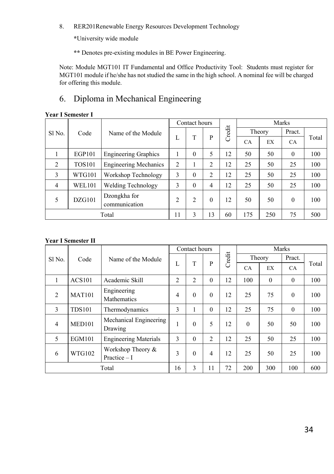8. RER201Renewable Energy Resources Development Technology

**\***University wide module

**\*\*** Denotes pre-existing modules in BE Power Engineering.

Note: Module MGT101 IT Fundamental and Office Productivity Tool: Students must register for MGT101 module if he/she has not studied the same in the high school. A nominal fee will be charged for offering this module.

### 6. Diploma in Mechanical Engineering

|  | <b>Year I Semester I</b> |  |
|--|--------------------------|--|
|  |                          |  |

|                    |               |                               |                | Contact hours |                |        | Marks     |        |           |       |  |
|--------------------|---------------|-------------------------------|----------------|---------------|----------------|--------|-----------|--------|-----------|-------|--|
| Sl <sub>No</sub> . | Code          | Name of the Module            |                |               |                | Credit |           | Theory | Pract.    |       |  |
|                    |               |                               | L              | T             | P              |        | <b>CA</b> | EX     | <b>CA</b> | Total |  |
|                    | EGP101        | <b>Engineering Graphics</b>   |                | $\theta$      | 5              | 12     | 50        | 50     | $\theta$  | 100   |  |
| 2                  | <b>TOS101</b> | <b>Engineering Mechanics</b>  | $\overline{c}$ |               | $\overline{c}$ | 12     | 25        | 50     | 25        | 100   |  |
| 3                  | WTG101        | Workshop Technology           | 3              | $\theta$      | $\overline{c}$ | 12     | 25        | 50     | 25        | 100   |  |
| 4                  | <b>WEL101</b> | Welding Technology            | 3              | $\theta$      | 4              | 12     | 25        | 50     | 25        | 100   |  |
| 5                  | DZG101        | Dzongkha for<br>communication | $\mathfrak{D}$ | 2             | $\theta$       | 12     | 50        | 50     | $\Omega$  | 100   |  |
|                    |               | Total                         | 11             | 3             | 13             | 60     | 175       | 250    | 75        | 500   |  |

|                |               |                                    |                | Contact hours  |                |        |          |          | Marks    |       |
|----------------|---------------|------------------------------------|----------------|----------------|----------------|--------|----------|----------|----------|-------|
| Sl No.         | Code          | Name of the Module                 |                |                |                | Credit |          | Theory   | Pract.   |       |
|                |               |                                    | L              | T              | $\mathbf{P}$   |        | CA       | EX       | CA.      | Total |
| 1              | <b>ACS101</b> | Academic Skill                     | $\overline{c}$ | $\overline{c}$ | $\theta$       | 12     | 100      | $\Omega$ | $\theta$ | 100   |
| $\overline{2}$ | <b>MAT101</b> | Engineering<br><b>Mathematics</b>  | $\overline{4}$ | $\theta$       | $\theta$       | 12     | 25       | 75       | $\theta$ | 100   |
| 3              | <b>TDS101</b> | Thermodynamics                     | 3              | 1              | $\theta$       | 12     | 25       | 75       | $\theta$ | 100   |
| $\overline{4}$ | MED101        | Mechanical Engineering<br>Drawing  | 1              | $\theta$       | 5              | 12     | $\theta$ | 50       | 50       | 100   |
| 5              | <b>EGM101</b> | <b>Engineering Materials</b>       | 3              | $\Omega$       | $\overline{2}$ | 12     | 25       | 50       | 25       | 100   |
| 6              | WTG102        | Workshop Theory &<br>Practice $-I$ | 3              | $\Omega$       | $\overline{4}$ | 12     | 25       | 50       | 25       | 100   |
|                |               | Total                              | 16             | 3              | 11             | 72     | 200      | 300      | 100      | 600   |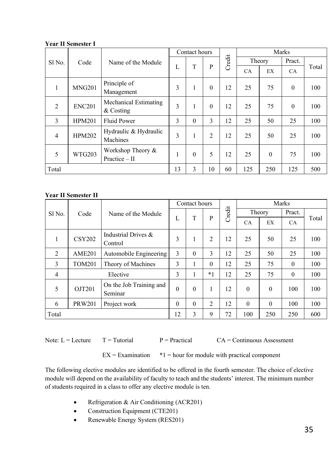|                |               |                                      | Contact hours |          |                |        |           |          | Marks        |       |
|----------------|---------------|--------------------------------------|---------------|----------|----------------|--------|-----------|----------|--------------|-------|
| Sl No.         | Code          | Name of the Module                   |               |          |                | Credit |           | Theory   | Pract.       |       |
|                |               |                                      | L             | T        | P              |        | <b>CA</b> | EX       | <b>CA</b>    | Total |
| 1              | <b>MNG201</b> | Principle of<br>Management           | 3             | 1        | $\theta$       | 12     | 25        | 75       | $\theta$     | 100   |
| $\overline{2}$ | <b>ENC201</b> | Mechanical Estimating<br>& Costing   | 3             |          | $\theta$       | 12     | 25        | 75       | $\mathbf{0}$ | 100   |
| 3              | <b>HPM201</b> | <b>Fluid Power</b>                   | 3             | $\theta$ | 3              | 12     | 25        | 50       | 25           | 100   |
| 4              | <b>HPM202</b> | Hydraulic & Hydraulic<br>Machines    | 3             |          | $\overline{c}$ | 12     | 25        | 50       | 25           | 100   |
| 5              | <b>WTG203</b> | Workshop Theory &<br>Practice $-$ II |               | $\theta$ | 5              | 12     | 25        | $\theta$ | 75           | 100   |
| Total          |               |                                      | 13            | 3        | 10             | 60     | 125       | 250      | 125          | 500   |

#### **Year II Semester II**

|                |               |                                    | Contact hours |          |                |        |           | Marks    |           |       |
|----------------|---------------|------------------------------------|---------------|----------|----------------|--------|-----------|----------|-----------|-------|
| Sl No.         | Code          | Name of the Module                 |               |          |                | Credit |           | Theory   | Pract.    |       |
|                |               |                                    | L             | T        | P              |        | <b>CA</b> | EX       | <b>CA</b> | Total |
| 1              | <b>CSY202</b> | Industrial Drives &<br>Control     | 3             | 1        | $\overline{c}$ | 12     | 25        | 50       | 25        | 100   |
| $\overline{2}$ | <b>AME201</b> | Automobile Engineering             | 3             | $\theta$ | 3              | 12     | 25        | 50       | 25        | 100   |
| 3              | <b>TOM201</b> | Theory of Machines                 | 3             | I.       | $\theta$       | 12     | 25        | 75       | $\theta$  | 100   |
| $\overline{4}$ |               | Elective                           | 3             | 1        | $*1$           | 12     | 25        | 75       | $\theta$  | 100   |
| 5              | OJT201        | On the Job Training and<br>Seminar | $\theta$      | $\theta$ | 1              | 12     | $\theta$  | $\Omega$ | 100       | 100   |
| 6              | <b>PRW201</b> | Project work                       | $\Omega$      | $\theta$ | $\overline{2}$ | 12     | $\theta$  | $\Omega$ | 100       | 100   |
| Total          |               |                                    | 12            | 3        | 9              | 72     | 100       | 250      | 250       | 600   |

Note:  $L =$  Lecture  $T =$  Tutorial  $P =$  Practical  $CA =$  Continuous Assessment

 $EX = Examination$   $*1 = hour$  for module with practical component

The following elective modules are identified to be offered in the fourth semester. The choice of elective module will depend on the availability of faculty to teach and the students' interest. The minimum number of students required in a class to offer any elective module is ten.

- Refrigeration & Air Conditioning (ACR201)
- Construction Equipment (CTE201)
- Renewable Energy System (RES201)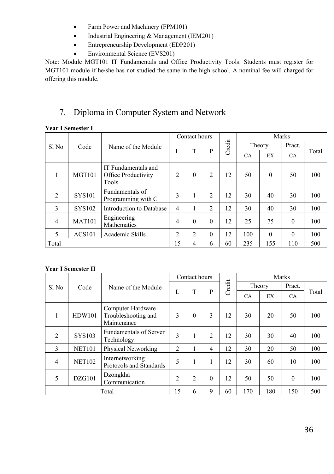- Farm Power and Machinery (FPM101)
- Industrial Engineering & Management (IEM201)
- Entrepreneurship Development (EDP201)
- Environmental Science (EVS201)

Note: Module MGT101 IT Fundamentals and Office Productivity Tools: Students must register for MGT101 module if he/she has not studied the same in the high school. A nominal fee will charged for offering this module.

### 7. Diploma in Computer System and Network

#### **Year I Semester I**

|                |               |                                                     | Contact hours  |          |                |        | Marks |          |           |       |  |
|----------------|---------------|-----------------------------------------------------|----------------|----------|----------------|--------|-------|----------|-----------|-------|--|
| Sl No.         | Code          | Name of the Module                                  |                |          |                | Credit |       | Theory   | Pract.    |       |  |
|                |               |                                                     | L              | T        | P              |        | CA    | EX       | <b>CA</b> | Total |  |
| 1              | MGT101        | IT Fundamentals and<br>Office Productivity<br>Tools | $\overline{c}$ | $\theta$ | $\overline{c}$ | 12     | 50    | $\theta$ | 50        | 100   |  |
| 2              | <b>SYS101</b> | Fundamentals of<br>Programming with C               | 3              |          | 2              | 12     | 30    | 40       | 30        | 100   |  |
| 3              | <b>SYS102</b> | Introduction to Database                            | $\overline{4}$ |          | 2              | 12     | 30    | 40       | 30        | 100   |  |
| $\overline{4}$ | <b>MAT101</b> | Engineering<br>Mathematics                          | 4              | $\theta$ | $\theta$       | 12     | 25    | 75       | $\theta$  | 100   |  |
| 5              | <b>ACS101</b> | Academic Skills                                     | $\overline{2}$ | 2        | $\theta$       | 12     | 100   | $\Omega$ | $\theta$  | 100   |  |
| Total          |               |                                                     | 15             | 4        | 6              | 60     | 235   | 155      | 110       | 500   |  |

|        |               |                                                         |                | Contact hours  |                |        | Marks |        |          |       |  |
|--------|---------------|---------------------------------------------------------|----------------|----------------|----------------|--------|-------|--------|----------|-------|--|
| Sl No. | Code          | Name of the Module                                      |                |                |                | Credit |       | Theory | Pract.   |       |  |
|        |               |                                                         | L              | T              | P              |        | CA    | EX     | CA.      | Total |  |
| 1      | <b>HDW101</b> | Computer Hardware<br>Troubleshooting and<br>Maintenance | 3              | $\theta$       | 3              | 12     | 30    | 20     | 50       | 100   |  |
| 2      | <b>SYS103</b> | <b>Fundamentals of Server</b><br>Technology             | 3              | 1              | $\overline{c}$ | 12     | 30    | 30     | 40       | 100   |  |
| 3      | <b>NET101</b> | Physical Networking                                     | $\overline{2}$ |                | 4              | 12     | 30    | 20     | 50       | 100   |  |
| 4      | <b>NET102</b> | Internetworking<br>Protocols and Standards              | 5              | 1              | 1              | 12     | 30    | 60     | 10       | 100   |  |
| 5      | DZG101        | Dzongkha<br>Communication                               | $\overline{2}$ | $\overline{2}$ | $\theta$       | 12     | 50    | 50     | $\Omega$ | 100   |  |
|        |               | Total                                                   | 15             | 6              | 9              | 60     | 170   | 180    | 150      | 500   |  |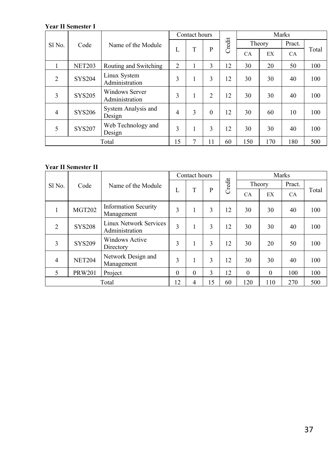|                |               |                                         |    | Contact hours |                |        |           |        | Marks  |       |
|----------------|---------------|-----------------------------------------|----|---------------|----------------|--------|-----------|--------|--------|-------|
| Sl No.         | Code          | Name of the Module                      |    |               |                | Credit |           | Theory | Pract. |       |
|                |               |                                         | L  | T             | P              |        | <b>CA</b> | EX     | CA     | Total |
|                | <b>NET203</b> | Routing and Switching                   | 2  |               | 3              | 12     | 30        | 20     | 50     | 100   |
| $\overline{2}$ | <b>SYS204</b> | Linux System<br>Administration          | 3  |               | 3              | 12     | 30        | 30     | 40     | 100   |
| 3              | <b>SYS205</b> | <b>Windows Server</b><br>Administration | 3  |               | $\overline{c}$ | 12     | 30        | 30     | 40     | 100   |
| $\overline{4}$ | <b>SYS206</b> | System Analysis and<br>Design           | 4  | 3             | $\theta$       | 12     | 30        | 60     | 10     | 100   |
| 5              | <b>SYS207</b> | Web Technology and<br>Design            | 3  | 1             | 3              | 12     | 30        | 30     | 40     | 100   |
|                |               | Total                                   | 15 | 7             | 11             | 60     | 150       | 170    | 180    | 500   |

|                |               |                                                 |          | Contact hours |    |        |          |          | Marks  |       |
|----------------|---------------|-------------------------------------------------|----------|---------------|----|--------|----------|----------|--------|-------|
| Sl No.         | Code          | Name of the Module                              |          |               |    | Credit |          | Theory   | Pract. |       |
|                |               |                                                 | L        | T             | P  |        | CA       | EX       | CA     | Total |
|                | <b>MGT202</b> | <b>Information Security</b><br>Management       | 3        | 1             | 3  | 12     | 30       | 30       | 40     | 100   |
| 2              | <b>SYS208</b> | <b>Linux Network Services</b><br>Administration | 3        |               | 3  | 12     | 30       | 30       | 40     | 100   |
| 3              | <b>SYS209</b> | <b>Windows Active</b><br>Directory              | 3        | ш             | 3  | 12     | 30       | 20       | 50     | 100   |
| $\overline{4}$ | <b>NET204</b> | Network Design and<br>Management                | 3        |               | 3  | 12     | 30       | 30       | 40     | 100   |
| 5              | <b>PRW201</b> | Project                                         | $\theta$ | $\theta$      | 3  | 12     | $\theta$ | $\theta$ | 100    | 100   |
|                |               | Total                                           | 12       | 4             | 15 | 60     | 120      | 110      | 270    | 500   |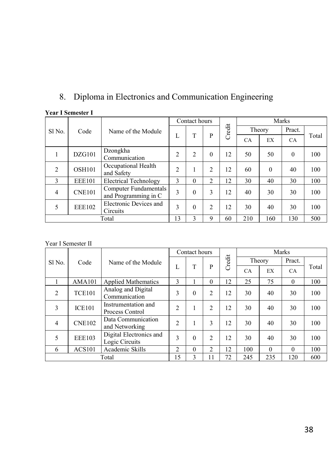# 8. Diploma in Electronics and Communication Engineering

|                |               |                                               |                | Contact hours  |                |        | Marks     |          |           |       |  |
|----------------|---------------|-----------------------------------------------|----------------|----------------|----------------|--------|-----------|----------|-----------|-------|--|
| Sl No.         | Code          | Name of the Module                            |                |                |                | Credit |           | Theory   | Pract.    |       |  |
|                |               |                                               | L              | T              | P              |        | <b>CA</b> | EX       | <b>CA</b> | Total |  |
|                | DZG101        | Dzongkha<br>Communication                     | $\overline{c}$ | $\overline{c}$ | $\theta$       | 12     | 50        | 50       | $\Omega$  | 100   |  |
| 2              | <b>OSH101</b> | Occupational Health<br>and Safety             | $\overline{c}$ |                | $\overline{c}$ | 12     | 60        | $\theta$ | 40        | 100   |  |
| $\mathcal{E}$  | <b>EEE101</b> | <b>Electrical Technology</b>                  | 3              | $\theta$       | $\overline{c}$ | 12     | 30        | 40       | 30        | 100   |  |
| $\overline{4}$ | <b>CNE101</b> | Computer Fundamentals<br>and Programming in C | 3              | $\theta$       | 3              | 12     | 40        | 30       | 30        | 100   |  |
| 5              | <b>EEE102</b> | Electronic Devices and<br>Circuits            | 3              | $\theta$       | $\overline{c}$ | 12     | 30        | 40       | 30        | 100   |  |
|                |               | Total                                         | 13             | $\mathbf{3}$   | 9              | 60     | 210       | 160      | 130       | 500   |  |

#### **Year I Semester I**

|                |               |                                           |                | Contact hours |                |        |           |          | Marks     |       |
|----------------|---------------|-------------------------------------------|----------------|---------------|----------------|--------|-----------|----------|-----------|-------|
| Sl No.         | Code          | Name of the Module                        |                |               |                | Credit |           | Theory   | Pract.    |       |
|                |               |                                           | L              | T             | P              |        | <b>CA</b> | EX       | <b>CA</b> | Total |
|                | <b>AMA101</b> | <b>Applied Mathematics</b>                | 3              |               | $\theta$       | 12     | 25        | 75       | $\theta$  | 100   |
| $\mathfrak{2}$ | <b>TCE101</b> | Analog and Digital<br>Communication       | 3              | $\theta$      | $\overline{2}$ | 12     | 30        | 40       | 30        | 100   |
| 3              | <b>ICE101</b> | Instrumentation and<br>Process Control    | $\overline{c}$ |               | $\overline{2}$ | 12     | 30        | 40       | 30        | 100   |
| $\overline{4}$ | <b>CNE102</b> | Data Communication<br>and Networking      | $\overline{c}$ |               | 3              | 12     | 30        | 40       | 30        | 100   |
| 5              | <b>EEE103</b> | Digital Electronics and<br>Logic Circuits | 3              | $\theta$      | $\overline{2}$ | 12     | 30        | 40       | 30        | 100   |
| 6              | <b>ACS101</b> | Academic Skills                           | $\overline{c}$ | $\theta$      | $\mathfrak{2}$ | 12     | 100       | $\Omega$ | $\Omega$  | 100   |
|                |               | Total                                     | 15             | 3             | 11             | 72     | 245       | 235      | 120       | 600   |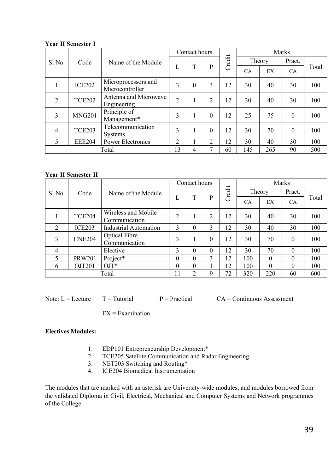|                |               |                                        |                | Contact hours |                |        | Marks     |        |           |       |  |
|----------------|---------------|----------------------------------------|----------------|---------------|----------------|--------|-----------|--------|-----------|-------|--|
| Sl No.         | Code          | Name of the Module                     |                |               |                | Credit |           | Theory | Pract.    |       |  |
|                |               |                                        | L              | T             | P              |        | <b>CA</b> | EX     | <b>CA</b> | Total |  |
|                | <b>ICE202</b> | Microprocessors and<br>Microcontroller | 3              | $\theta$      | 3              | 12     | 30        | 40     | 30        | 100   |  |
| $\overline{c}$ | <b>TCE202</b> | Antenna and Microwave<br>Engineering   | $\overline{2}$ |               | $\overline{c}$ | 12     | 30        | 40     | 30        | 100   |  |
| 3              | <b>MNG201</b> | Principle of<br>Management*            | 3              |               | $\theta$       | 12     | 25        | 75     | $\theta$  | 100   |  |
| 4              | <b>TCE203</b> | Telecommunication<br>Systems           | 3              | 1             | $\theta$       | 12     | 30        | 70     | $\theta$  | 100   |  |
| 5              | <b>EEE204</b> | Power Electronics                      | $\overline{2}$ |               | 2              | 12     | 30        | 40     | 30        | 100   |  |
|                |               | Total                                  | 13             | 4             | 7              | 60     | 145       | 265    | 90        | 500   |  |

#### **Year II Semester II**

|                |               |                                      |                | Contact hours |          |        | Marks     |          |           |       |  |  |
|----------------|---------------|--------------------------------------|----------------|---------------|----------|--------|-----------|----------|-----------|-------|--|--|
| Sl No.         | Code          | Name of the Module                   |                |               |          | Credit | Theory    |          | Pract.    |       |  |  |
|                |               |                                      | L              | T             | P        |        | <b>CA</b> | EX       | <b>CA</b> | Total |  |  |
|                | <b>TCE204</b> | Wireless and Mobile<br>Communication | $\overline{c}$ |               | 2        | 12     | 30        | 40       | 30        | 100   |  |  |
| $\overline{2}$ | ICE203        | <b>Industrial Automation</b>         | 3              | $\theta$      | 3        | 12     | 30        | 40       | 30        | 100   |  |  |
| 3              | <b>CNE204</b> | Optical Fibre<br>Communication       | 3              |               | $\theta$ | 12     | 30        | 70       | $\Omega$  | 100   |  |  |
| 4              |               | Elective                             | 3              | $\theta$      | $\theta$ | 12     | 30        | 70       | $\Omega$  | 100   |  |  |
| 5              | <b>PRW201</b> | Project*                             | $\theta$       | $\Omega$      | 3        | 12     | 100       | $\theta$ | $\Omega$  | 100   |  |  |
| 6              | OJT201        | $OJT^*$                              | $\theta$       | $\Omega$      |          | 12     | 100       | $\Omega$ | $\theta$  | 100   |  |  |
|                |               | Total                                | 11             | 2             | 9        | 72     | 320       | 220      | 60        | 600   |  |  |

Note:  $L = L$  = Lecture  $T = T$ utorial  $P = P$ ractical  $CA =$  Continuous Assessment

 $EX = Examination$ 

#### **Electives Modules:**

- 1. EDP101 Entrepreneurship Development\*<br>2. TCE205 Satellite Communication and Ra
- TCE205 Satellite Communication and Radar Engineering
- 3. NET203 Switching and Routing\*<br>4. ICE204 Biomedical Instrumentati
- ICE204 Biomedical Instrumentation

The modules that are marked with an asterisk are University-wide modules, and modules borrowed from the validated Diploma in Civil, Electrical, Mechanical and Computer Systems and Network programmes of the College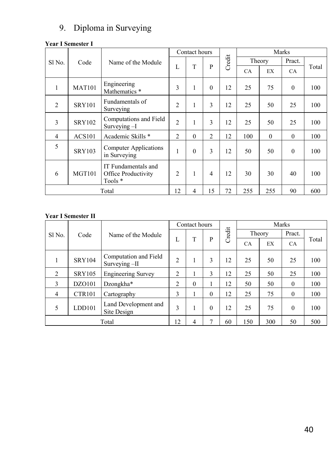### 9. Diploma in Surveying

#### **Year I Semester I**

|                |               |                                                       |                | Contact hours  |                | Marks  |           |          |                                                     |       |
|----------------|---------------|-------------------------------------------------------|----------------|----------------|----------------|--------|-----------|----------|-----------------------------------------------------|-------|
| Sl No.         | Code          | Name of the Module                                    |                |                |                | Credit |           | Theory   | Pract.                                              |       |
|                |               |                                                       | L              | T              | $\mathbf{P}$   |        | <b>CA</b> | EX       | CA.<br>$\theta$<br>25<br>25<br>$\theta$<br>$\theta$ | Total |
| 1              | <b>MAT101</b> | Engineering<br>Mathematics *                          | 3              | 1              | $\theta$       | 12     | 25        | 75       |                                                     | 100   |
| $\overline{2}$ | <b>SRY101</b> | Fundamentals of<br>Surveying                          | $\mathfrak{D}$ | 1              | 3              | 12     | 25        | 50       |                                                     | 100   |
| 3              | <b>SRY102</b> | Computations and Field<br>Surveying -I                | $\overline{2}$ | 1              | 3              | 12     | 25        | 50       |                                                     | 100   |
| $\overline{4}$ | <b>ACS101</b> | Academic Skills *                                     | $\overline{2}$ | $\theta$       | $\overline{2}$ | 12     | 100       | $\theta$ |                                                     | 100   |
| 5              | <b>SRY103</b> | Computer Applications<br>in Surveying                 | 1              | $\theta$       | 3              | 12     | 50        | 50       |                                                     | 100   |
| 6              | <b>MGT101</b> | IT Fundamentals and<br>Office Productivity<br>Tools * | $\overline{2}$ | $\mathbf{1}$   | $\overline{4}$ | 12     | 30        | 30       | 40                                                  | 100   |
|                | Total         |                                                       |                | $\overline{4}$ | 15             | 72     | 255       | 255      | 90                                                  | 600   |

|                |               | Name of the Module                     |                | Contact hours |          |        | Marks     |     |           |       |  |
|----------------|---------------|----------------------------------------|----------------|---------------|----------|--------|-----------|-----|-----------|-------|--|
| Sl No.         | Code          |                                        |                |               |          | Credit | Theory    |     | Pract.    |       |  |
|                |               |                                        | L              | T             | P        |        | <b>CA</b> | EX  | <b>CA</b> | Total |  |
|                | <b>SRY104</b> | Computation and Field<br>Surveying -II | $\overline{c}$ | 1             | 3        | 12     | 25        | 50  | 25        | 100   |  |
| $\overline{2}$ | <b>SRY105</b> | <b>Engineering Survey</b>              | 2              |               | 3        | 12     | 25        | 50  | 25        | 100   |  |
| 3              | DZO101        | Dzongkha*                              | $\overline{c}$ | $\Omega$      | 1        | 12     | 50        | 50  | $\theta$  | 100   |  |
| $\overline{4}$ | <b>CTR101</b> | Cartography                            | 3              |               | $\theta$ | 12     | 25        | 75  | $\theta$  | 100   |  |
| 5              | LDD101        | Land Development and<br>Site Design    | 3              | L             | $\theta$ | 12     | 25        | 75  | $\theta$  | 100   |  |
|                |               | Total                                  | 12             | 4             | 7        | 60     | 150       | 300 | 50        | 500   |  |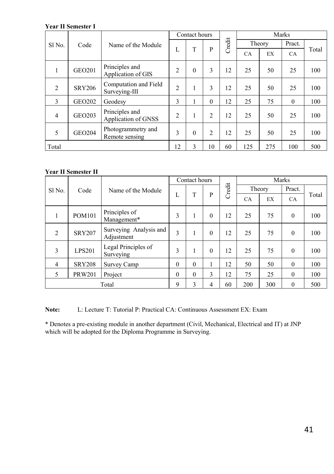|                |               | Name of the Module                     |                | Contact hours |                |        | Marks  |     |                                         |       |  |
|----------------|---------------|----------------------------------------|----------------|---------------|----------------|--------|--------|-----|-----------------------------------------|-------|--|
| Sl No.         | Code          |                                        |                |               |                | Credit | Theory |     | Pract.                                  |       |  |
|                |               |                                        | L              | T             | P              |        | CA     | EX  | CA.<br>25<br>25<br>$\Omega$<br>25<br>25 | Total |  |
| ш              | <b>GEO201</b> | Principles and<br>Application of GIS   | 2              | $\theta$      | 3              | 12     | 25     | 50  |                                         | 100   |  |
| $\overline{2}$ | <b>SRY206</b> | Computation and Field<br>Surveying-III | $\overline{2}$ | 1             | 3              | 12     | 25     | 50  |                                         | 100   |  |
| 3              | <b>GEO202</b> | Geodesy                                | 3              |               | $\theta$       | 12     | 25     | 75  |                                         | 100   |  |
| $\overline{4}$ | <b>GEO203</b> | Principles and<br>Application of GNSS  | $\overline{2}$ | 1             | $\overline{2}$ | 12     | 25     | 50  |                                         | 100   |  |
| 5              | <b>GEO204</b> | Photogrammetry and<br>Remote sensing   | 3              | $\theta$      | $\overline{2}$ | 12     | 25     | 50  |                                         | 100   |  |
| Total          |               |                                        | 12             | 3             | 10             | 60     | 125    | 275 | 100                                     | 500   |  |

#### **Year II Semester II**

|                |               |                                      |               | Contact hours |          |        | Marks     |          |              |       |  |
|----------------|---------------|--------------------------------------|---------------|---------------|----------|--------|-----------|----------|--------------|-------|--|
| Sl No.         | Code          | Name of the Module                   |               |               |          | Credit | Theory    |          | Pract.       |       |  |
|                |               |                                      | L             | T             | P        |        | <b>CA</b> | EX       | <b>CA</b>    | Total |  |
| ш              | <b>POM101</b> | Principles of<br>Management*         | 3             | 1             | $\theta$ | 12     | 25        | 75       | $\mathbf{0}$ | 100   |  |
| $\overline{2}$ | <b>SRY207</b> | Surveying Analysis and<br>Adjustment | 3             | 1             | $\theta$ | 12     | 25        | 75       | $\theta$     | 100   |  |
| 3              | <b>LPS201</b> | Legal Principles of<br>Surveying     | 3             | 1             | $\theta$ | 12     | 25        | 75       | $\theta$     | 100   |  |
| $\overline{4}$ | <b>SRY208</b> | Survey Camp                          | $\theta$      | $\theta$      | 1        | 12     | 50        | 50       | $\theta$     | 100   |  |
| 5              | <b>PRW201</b> | Project                              | $\theta$      | $\theta$      | 3        | 12     | 75        | 25       | $\mathbf{0}$ | 100   |  |
| Total          |               | 9                                    | $\mathcal{L}$ | 4             | 60       | 200    | 300       | $\Omega$ | 500          |       |  |

**Note:** L: Lecture T: Tutorial P: Practical CA: Continuous Assessment EX: Exam

\* Denotes a pre-existing module in another department (Civil, Mechanical, Electrical and IT) at JNP which will be adopted for the Diploma Programme in Surveying.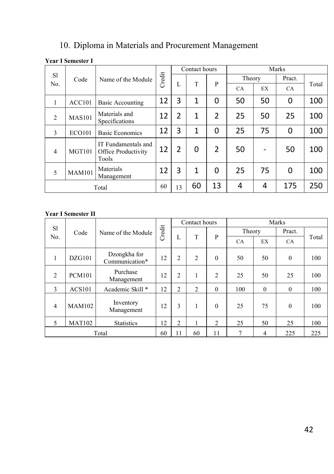# 10. Diploma in Materials and Procurement Management

#### **Year I Semester I**

|                |                    | Name of the Module                                  |        |                | Contact hours |   |           |                          | Marks     |       |
|----------------|--------------------|-----------------------------------------------------|--------|----------------|---------------|---|-----------|--------------------------|-----------|-------|
| <sub>S1</sub>  | Code               |                                                     | Credit |                |               |   |           | Theory                   |           |       |
| No.            |                    |                                                     |        | L              | T             | P | <b>CA</b> | EX                       | <b>CA</b> | Total |
|                | ACC101             | <b>Basic Accounting</b>                             | 12     | 3              | 1             | 0 | 50        | 50                       | 0         | 100   |
| 2              | <b>MAS101</b>      | Materials and<br>Specifications                     | 12     | $\overline{2}$ | 1             | 2 | 25        | 50                       | 25        | 100   |
| $\mathcal{E}$  | <b>ECO101</b>      | <b>Basic Economics</b>                              | 12     | 3              | 1             | 0 | 25        | 75                       | 0         | 100   |
| $\overline{4}$ | MGT <sub>101</sub> | IT Fundamentals and<br>Office Productivity<br>Tools | 12     | $\overline{2}$ | 0             | 2 | 50        | $\overline{\phantom{a}}$ | 50        | 100   |
| 5              | <b>MAM101</b>      | Materials<br>Management                             | 12     | 3              | 1             | 0 | 25        | 75                       | 0         | 100   |
| Total          |                    | 60                                                  | 13     | 60             | 13            | 4 | 4         | 175                      | 250       |       |

|                      |               | Name of the Module             |        |                | Contact hours  |                |           |          | Marks    |       |
|----------------------|---------------|--------------------------------|--------|----------------|----------------|----------------|-----------|----------|----------|-------|
| <sub>S1</sub><br>No. | Code          |                                | Credit |                |                |                | Theory    |          | Pract.   |       |
|                      |               |                                |        | L              | T              | P              | <b>CA</b> | EX       | CA       | Total |
| 1                    | DZG101        | Dzongkha for<br>Communication* | 12     | $\overline{2}$ | $\overline{2}$ | $\mathbf{0}$   | 50        | 50       | $\theta$ | 100   |
| 2                    | <b>PCM101</b> | Purchase<br>Management         | 12     | $\overline{2}$ | 1              | $\overline{2}$ | 25        | 50       | 25       | 100   |
| 3                    | <b>ACS101</b> | Academic Skill *               | 12     | 2              | $\overline{2}$ | $\theta$       | 100       | $\theta$ | $\theta$ | 100   |
| $\overline{4}$       | <b>MAM102</b> | Inventory<br>Management        | 12     | 3              | $\mathbf{1}$   | $\theta$       | 25        | 75       | $\theta$ | 100   |
| 5                    | <b>MAT102</b> | <b>Statistics</b>              | 12     | $\overline{2}$ | 1              | $\overline{c}$ | 25        | 50       | 25       | 100   |
| Total                |               |                                | 60     | 11             | 60             | 11             |           | 4        | 225      | 225   |